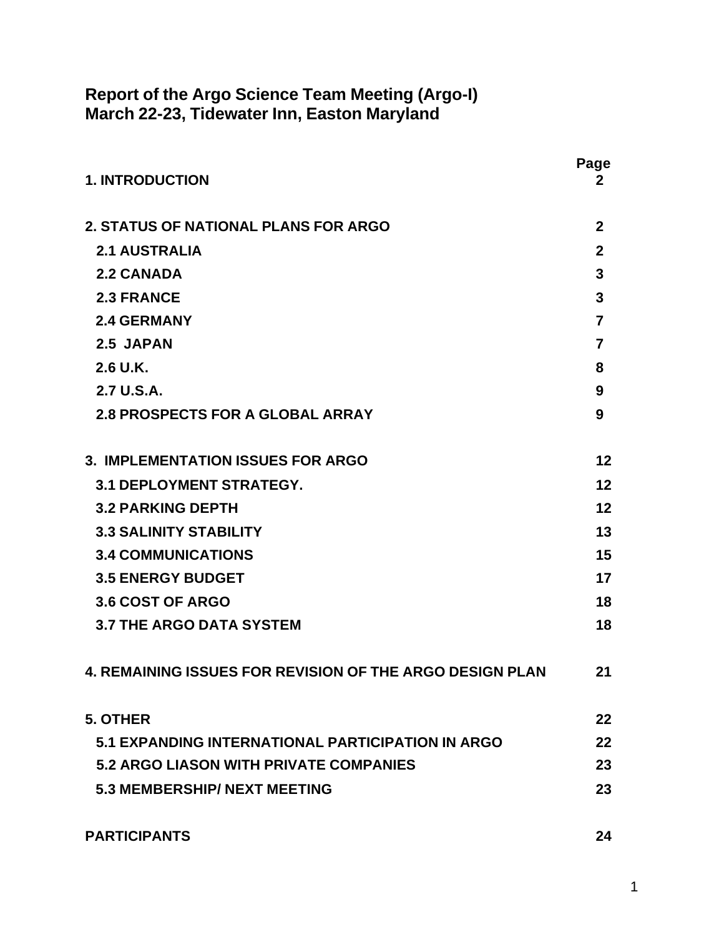### **Report of the Argo Science Team Meeting (Argo-I) March 22-23, Tidewater Inn, Easton Maryland**

| <b>1. INTRODUCTION</b>                                          | Page<br>2      |
|-----------------------------------------------------------------|----------------|
| <b>2. STATUS OF NATIONAL PLANS FOR ARGO</b>                     | $\mathbf{2}$   |
| <b>2.1 AUSTRALIA</b>                                            | $\overline{2}$ |
| <b>2.2 CANADA</b>                                               | $\mathbf{3}$   |
| <b>2.3 FRANCE</b>                                               | 3              |
| <b>2.4 GERMANY</b>                                              | $\overline{7}$ |
| 2.5 JAPAN                                                       | $\overline{7}$ |
| $2.6$ U.K.                                                      | 8              |
| 2.7 U.S.A.                                                      | 9              |
| <b>2.8 PROSPECTS FOR A GLOBAL ARRAY</b>                         | 9              |
| <b>3. IMPLEMENTATION ISSUES FOR ARGO</b>                        | 12             |
| <b>3.1 DEPLOYMENT STRATEGY.</b>                                 | 12             |
| <b>3.2 PARKING DEPTH</b>                                        | 12             |
| <b>3.3 SALINITY STABILITY</b>                                   | 13             |
| <b>3.4 COMMUNICATIONS</b>                                       | 15             |
| <b>3.5 ENERGY BUDGET</b>                                        | 17             |
| 3.6 COST OF ARGO                                                | 18             |
| <b>3.7 THE ARGO DATA SYSTEM</b>                                 | 18             |
| <b>4. REMAINING ISSUES FOR REVISION OF THE ARGO DESIGN PLAN</b> | 21             |
| 5. OTHER                                                        | 22             |
| 5.1 EXPANDING INTERNATIONAL PARTICIPATION IN ARGO               | 22             |
| <b>5.2 ARGO LIASON WITH PRIVATE COMPANIES</b>                   | 23             |
| <b>5.3 MEMBERSHIP/ NEXT MEETING</b>                             | 23             |
| <b>PARTICIPANTS</b>                                             | 24             |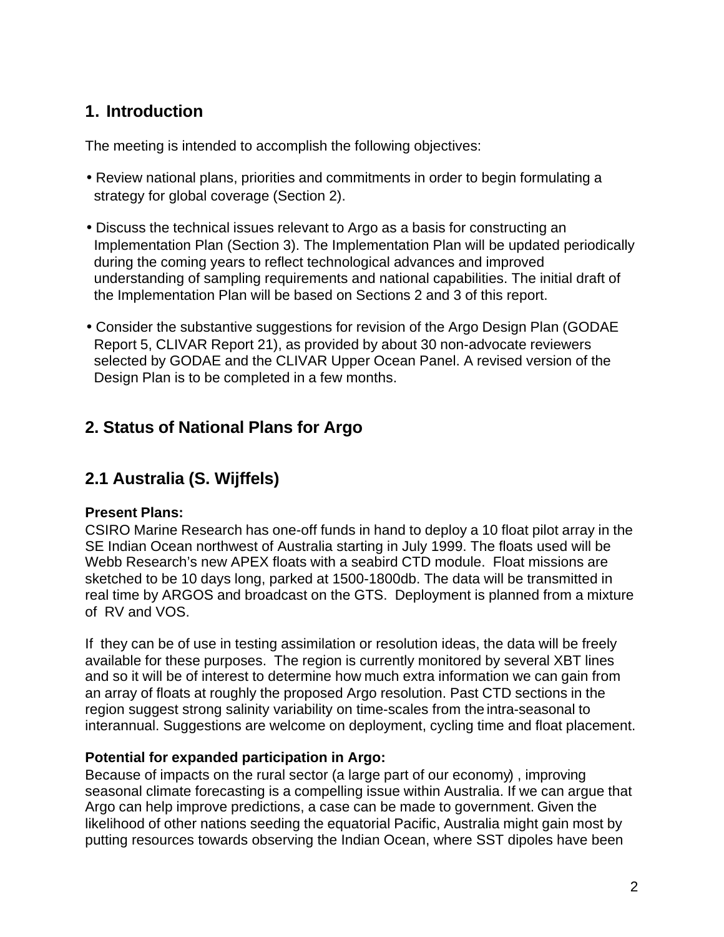### **1. Introduction**

The meeting is intended to accomplish the following objectives:

- Review national plans, priorities and commitments in order to begin formulating a strategy for global coverage (Section 2).
- Discuss the technical issues relevant to Argo as a basis for constructing an Implementation Plan (Section 3). The Implementation Plan will be updated periodically during the coming years to reflect technological advances and improved understanding of sampling requirements and national capabilities. The initial draft of the Implementation Plan will be based on Sections 2 and 3 of this report.
- Consider the substantive suggestions for revision of the Argo Design Plan (GODAE Report 5, CLIVAR Report 21), as provided by about 30 non-advocate reviewers selected by GODAE and the CLIVAR Upper Ocean Panel. A revised version of the Design Plan is to be completed in a few months.

## **2. Status of National Plans for Argo**

# **2.1 Australia (S. Wijffels)**

### **Present Plans:**

CSIRO Marine Research has one-off funds in hand to deploy a 10 float pilot array in the SE Indian Ocean northwest of Australia starting in July 1999. The floats used will be Webb Research's new APEX floats with a seabird CTD module. Float missions are sketched to be 10 days long, parked at 1500-1800db. The data will be transmitted in real time by ARGOS and broadcast on the GTS. Deployment is planned from a mixture of RV and VOS.

If they can be of use in testing assimilation or resolution ideas, the data will be freely available for these purposes. The region is currently monitored by several XBT lines and so it will be of interest to determine how much extra information we can gain from an array of floats at roughly the proposed Argo resolution. Past CTD sections in the region suggest strong salinity variability on time-scales from the intra-seasonal to interannual. Suggestions are welcome on deployment, cycling time and float placement.

### **Potential for expanded participation in Argo:**

Because of impacts on the rural sector (a large part of our economy) , improving seasonal climate forecasting is a compelling issue within Australia. If we can argue that Argo can help improve predictions, a case can be made to government. Given the likelihood of other nations seeding the equatorial Pacific, Australia might gain most by putting resources towards observing the Indian Ocean, where SST dipoles have been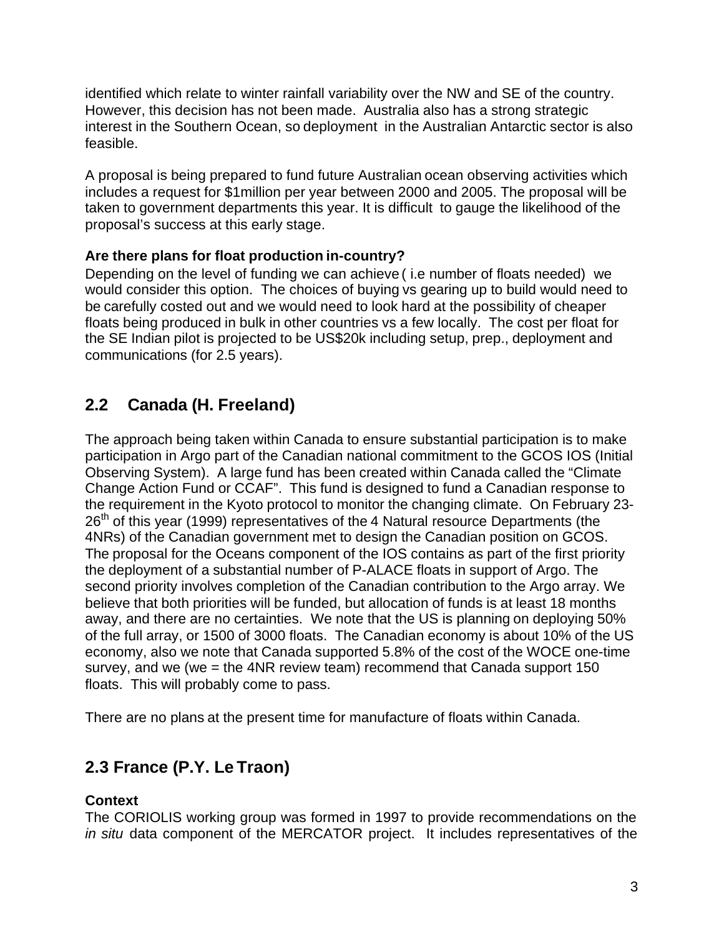identified which relate to winter rainfall variability over the NW and SE of the country. However, this decision has not been made. Australia also has a strong strategic interest in the Southern Ocean, so deployment in the Australian Antarctic sector is also feasible.

A proposal is being prepared to fund future Australian ocean observing activities which includes a request for \$1million per year between 2000 and 2005. The proposal will be taken to government departments this year. It is difficult to gauge the likelihood of the proposal's success at this early stage.

#### **Are there plans for float production in-country?**

Depending on the level of funding we can achieve ( i.e number of floats needed) we would consider this option. The choices of buying vs gearing up to build would need to be carefully costed out and we would need to look hard at the possibility of cheaper floats being produced in bulk in other countries vs a few locally. The cost per float for the SE Indian pilot is projected to be US\$20k including setup, prep., deployment and communications (for 2.5 years).

## **2.2 Canada (H. Freeland)**

The approach being taken within Canada to ensure substantial participation is to make participation in Argo part of the Canadian national commitment to the GCOS IOS (Initial Observing System). A large fund has been created within Canada called the "Climate Change Action Fund or CCAF". This fund is designed to fund a Canadian response to the requirement in the Kyoto protocol to monitor the changing climate. On February 23-  $26<sup>th</sup>$  of this year (1999) representatives of the 4 Natural resource Departments (the 4NRs) of the Canadian government met to design the Canadian position on GCOS. The proposal for the Oceans component of the IOS contains as part of the first priority the deployment of a substantial number of P-ALACE floats in support of Argo. The second priority involves completion of the Canadian contribution to the Argo array. We believe that both priorities will be funded, but allocation of funds is at least 18 months away, and there are no certainties. We note that the US is planning on deploying 50% of the full array, or 1500 of 3000 floats. The Canadian economy is about 10% of the US economy, also we note that Canada supported 5.8% of the cost of the WOCE one-time survey, and we (we = the 4NR review team) recommend that Canada support 150 floats. This will probably come to pass.

There are no plans at the present time for manufacture of floats within Canada.

# **2.3 France (P.Y. Le Traon)**

#### **Context**

The CORIOLIS working group was formed in 1997 to provide recommendations on the *in situ* data component of the MERCATOR project. It includes representatives of the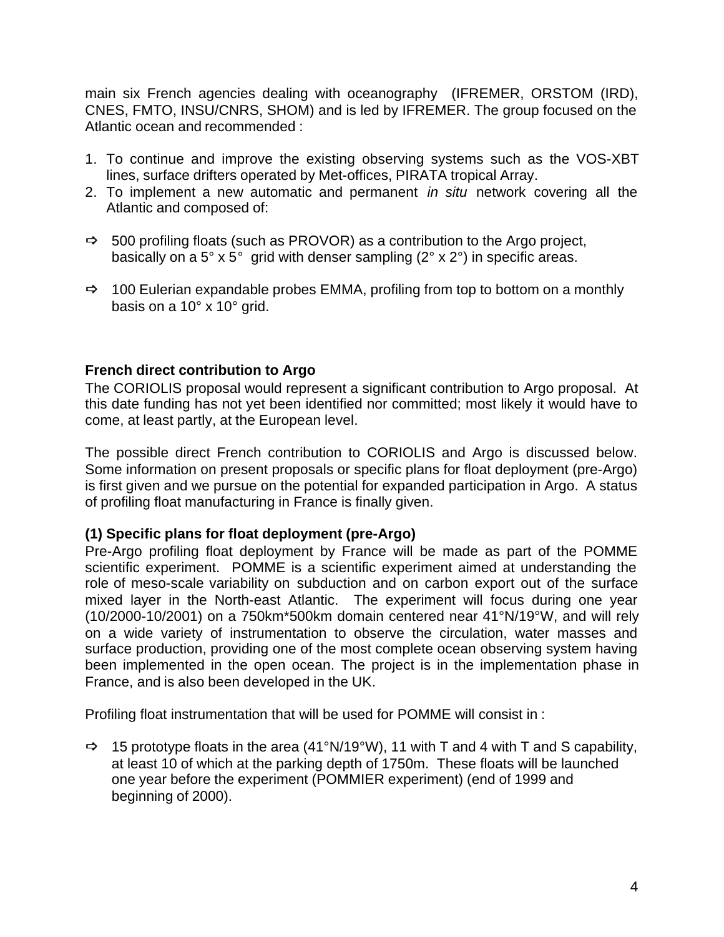main six French agencies dealing with oceanography (IFREMER, ORSTOM (IRD), CNES, FMTO, INSU/CNRS, SHOM) and is led by IFREMER. The group focused on the Atlantic ocean and recommended :

- 1. To continue and improve the existing observing systems such as the VOS-XBT lines, surface drifters operated by Met-offices, PIRATA tropical Array.
- 2. To implement a new automatic and permanent *in situ* network covering all the Atlantic and composed of:
- **ð** 500 profiling floats (such as PROVOR) as a contribution to the Argo project, basically on a  $5^{\circ}$  x  $5^{\circ}$  grid with denser sampling ( $2^{\circ}$  x  $2^{\circ}$ ) in specific areas.
- **ð** 100 Eulerian expandable probes EMMA, profiling from top to bottom on a monthly basis on a 10° x 10° grid.

#### **French direct contribution to Argo**

The CORIOLIS proposal would represent a significant contribution to Argo proposal. At this date funding has not yet been identified nor committed; most likely it would have to come, at least partly, at the European level.

The possible direct French contribution to CORIOLIS and Argo is discussed below. Some information on present proposals or specific plans for float deployment (pre-Argo) is first given and we pursue on the potential for expanded participation in Argo. A status of profiling float manufacturing in France is finally given.

#### **(1) Specific plans for float deployment (pre-Argo)**

Pre-Argo profiling float deployment by France will be made as part of the POMME scientific experiment. POMME is a scientific experiment aimed at understanding the role of meso-scale variability on subduction and on carbon export out of the surface mixed layer in the North-east Atlantic. The experiment will focus during one year (10/2000-10/2001) on a 750km\*500km domain centered near 41°N/19°W, and will rely on a wide variety of instrumentation to observe the circulation, water masses and surface production, providing one of the most complete ocean observing system having been implemented in the open ocean. The project is in the implementation phase in France, and is also been developed in the UK.

Profiling float instrumentation that will be used for POMME will consist in :

**ð** 15 prototype floats in the area (41°N/19°W), 11 with T and 4 with T and S capability, at least 10 of which at the parking depth of 1750m. These floats will be launched one year before the experiment (POMMIER experiment) (end of 1999 and beginning of 2000).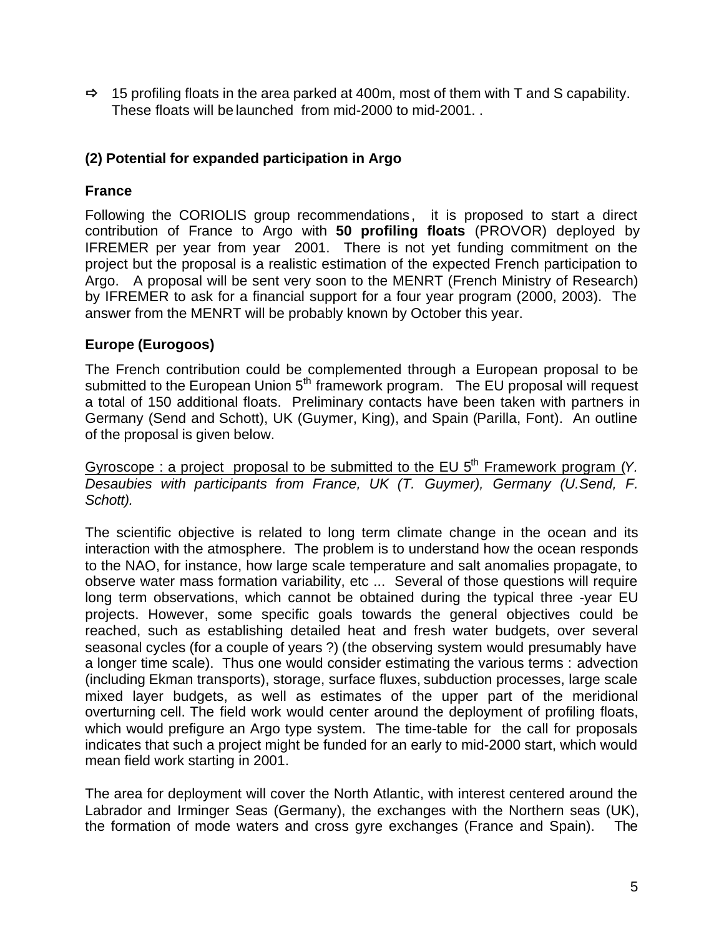**ð** 15 profiling floats in the area parked at 400m, most of them with T and S capability. These floats will be launched from mid-2000 to mid-2001. .

### **(2) Potential for expanded participation in Argo**

### **France**

Following the CORIOLIS group recommendations, it is proposed to start a direct contribution of France to Argo with **50 profiling floats** (PROVOR) deployed by IFREMER per year from year 2001. There is not yet funding commitment on the project but the proposal is a realistic estimation of the expected French participation to Argo. A proposal will be sent very soon to the MENRT (French Ministry of Research) by IFREMER to ask for a financial support for a four year program (2000, 2003). The answer from the MENRT will be probably known by October this year.

### **Europe (Eurogoos)**

The French contribution could be complemented through a European proposal to be submitted to the European Union 5<sup>th</sup> framework program. The EU proposal will request a total of 150 additional floats. Preliminary contacts have been taken with partners in Germany (Send and Schott), UK (Guymer, King), and Spain (Parilla, Font). An outline of the proposal is given below.

Gyroscope : a project proposal to be submitted to the EU 5<sup>th</sup> Framework program (Y. *Desaubies with participants from France, UK (T. Guymer), Germany (U.Send, F. Schott).*

The scientific objective is related to long term climate change in the ocean and its interaction with the atmosphere. The problem is to understand how the ocean responds to the NAO, for instance, how large scale temperature and salt anomalies propagate, to observe water mass formation variability, etc ... Several of those questions will require long term observations, which cannot be obtained during the typical three -year EU projects. However, some specific goals towards the general objectives could be reached, such as establishing detailed heat and fresh water budgets, over several seasonal cycles (for a couple of years ?) (the observing system would presumably have a longer time scale). Thus one would consider estimating the various terms : advection (including Ekman transports), storage, surface fluxes, subduction processes, large scale mixed layer budgets, as well as estimates of the upper part of the meridional overturning cell. The field work would center around the deployment of profiling floats, which would prefigure an Argo type system. The time-table for the call for proposals indicates that such a project might be funded for an early to mid-2000 start, which would mean field work starting in 2001.

The area for deployment will cover the North Atlantic, with interest centered around the Labrador and Irminger Seas (Germany), the exchanges with the Northern seas (UK), the formation of mode waters and cross gyre exchanges (France and Spain).The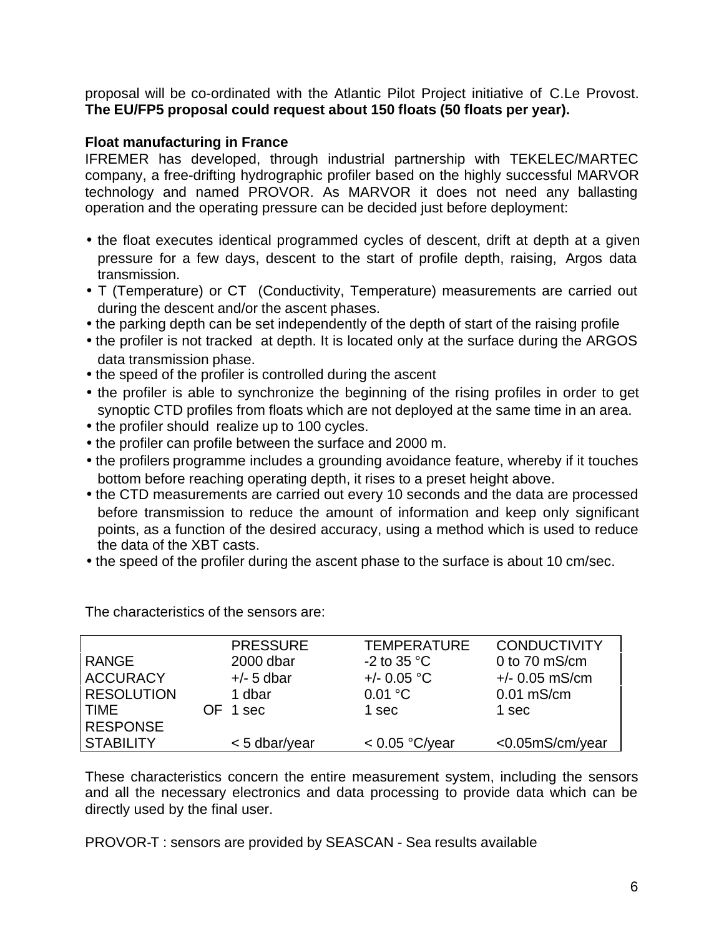proposal will be co-ordinated with the Atlantic Pilot Project initiative of C.Le Provost. **The EU/FP5 proposal could request about 150 floats (50 floats per year).**

#### **Float manufacturing in France**

IFREMER has developed, through industrial partnership with TEKELEC/MARTEC company, a free-drifting hydrographic profiler based on the highly successful MARVOR technology and named PROVOR. As MARVOR it does not need any ballasting operation and the operating pressure can be decided just before deployment:

- the float executes identical programmed cycles of descent, drift at depth at a given pressure for a few days, descent to the start of profile depth, raising, Argos data transmission.
- T (Temperature) or CT (Conductivity, Temperature) measurements are carried out during the descent and/or the ascent phases.
- the parking depth can be set independently of the depth of start of the raising profile
- the profiler is not tracked at depth. It is located only at the surface during the ARGOS data transmission phase.
- the speed of the profiler is controlled during the ascent
- the profiler is able to synchronize the beginning of the rising profiles in order to get synoptic CTD profiles from floats which are not deployed at the same time in an area.
- the profiler should realize up to 100 cycles.
- the profiler can profile between the surface and 2000 m.
- the profilers programme includes a grounding avoidance feature, whereby if it touches bottom before reaching operating depth, it rises to a preset height above.
- the CTD measurements are carried out every 10 seconds and the data are processed before transmission to reduce the amount of information and keep only significant points, as a function of the desired accuracy, using a method which is used to reduce the data of the XBT casts.
- the speed of the profiler during the ascent phase to the surface is about 10 cm/sec.

|                   | <b>PRESSURE</b> | <b>TEMPERATURE</b>    | <b>CONDUCTIVITY</b> |
|-------------------|-----------------|-----------------------|---------------------|
| <b>RANGE</b>      | 2000 dbar       | -2 to 35 $^{\circ}$ C | 0 to $70$ mS/cm     |
| <b>ACCURACY</b>   | $+/-$ 5 dbar    | $+/- 0.05 °C$         | $+/- 0.05$ mS/cm    |
| <b>RESOLUTION</b> | 1 dbar          | 0.01 °C               | $0.01$ mS/cm        |
| <b>TIME</b>       | OF 1 sec        | 1 sec                 | 1 sec               |
| <b>RESPONSE</b>   |                 |                       |                     |
| <b>STABILITY</b>  | < 5 dbar/year   | < 0.05 °C/year        | <0.05mS/cm/year     |

The characteristics of the sensors are:

These characteristics concern the entire measurement system, including the sensors and all the necessary electronics and data processing to provide data which can be directly used by the final user.

PROVOR-T : sensors are provided by SEASCAN - Sea results available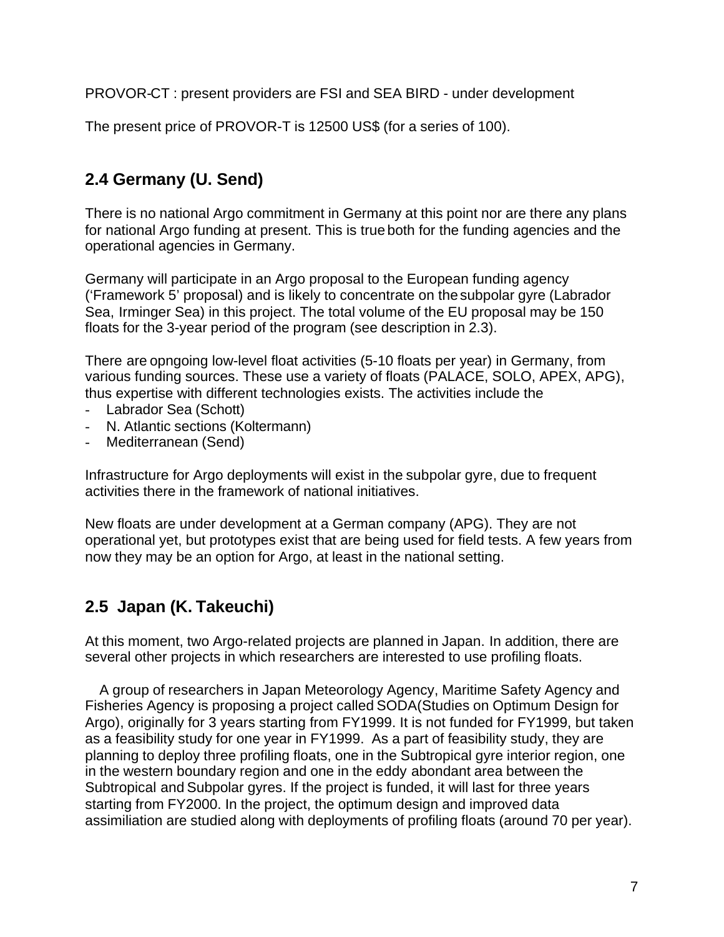PROVOR-CT : present providers are FSI and SEA BIRD - under development

The present price of PROVOR-T is 12500 US\$ (for a series of 100).

## **2.4 Germany (U. Send)**

There is no national Argo commitment in Germany at this point nor are there any plans for national Argo funding at present. This is true both for the funding agencies and the operational agencies in Germany.

Germany will participate in an Argo proposal to the European funding agency ('Framework 5' proposal) and is likely to concentrate on the subpolar gyre (Labrador Sea, Irminger Sea) in this project. The total volume of the EU proposal may be 150 floats for the 3-year period of the program (see description in 2.3).

There are opngoing low-level float activities (5-10 floats per year) in Germany, from various funding sources. These use a variety of floats (PALACE, SOLO, APEX, APG), thus expertise with different technologies exists. The activities include the

- Labrador Sea (Schott)
- N. Atlantic sections (Koltermann)
- Mediterranean (Send)

Infrastructure for Argo deployments will exist in the subpolar gyre, due to frequent activities there in the framework of national initiatives.

New floats are under development at a German company (APG). They are not operational yet, but prototypes exist that are being used for field tests. A few years from now they may be an option for Argo, at least in the national setting.

## **2.5 Japan (K. Takeuchi)**

At this moment, two Argo-related projects are planned in Japan. In addition, there are several other projects in which researchers are interested to use profiling floats.

 A group of researchers in Japan Meteorology Agency, Maritime Safety Agency and Fisheries Agency is proposing a project called SODA(Studies on Optimum Design for Argo), originally for 3 years starting from FY1999. It is not funded for FY1999, but taken as a feasibility study for one year in FY1999. As a part of feasibility study, they are planning to deploy three profiling floats, one in the Subtropical gyre interior region, one in the western boundary region and one in the eddy abondant area between the Subtropical and Subpolar gyres. If the project is funded, it will last for three years starting from FY2000. In the project, the optimum design and improved data assimiliation are studied along with deployments of profiling floats (around 70 per year).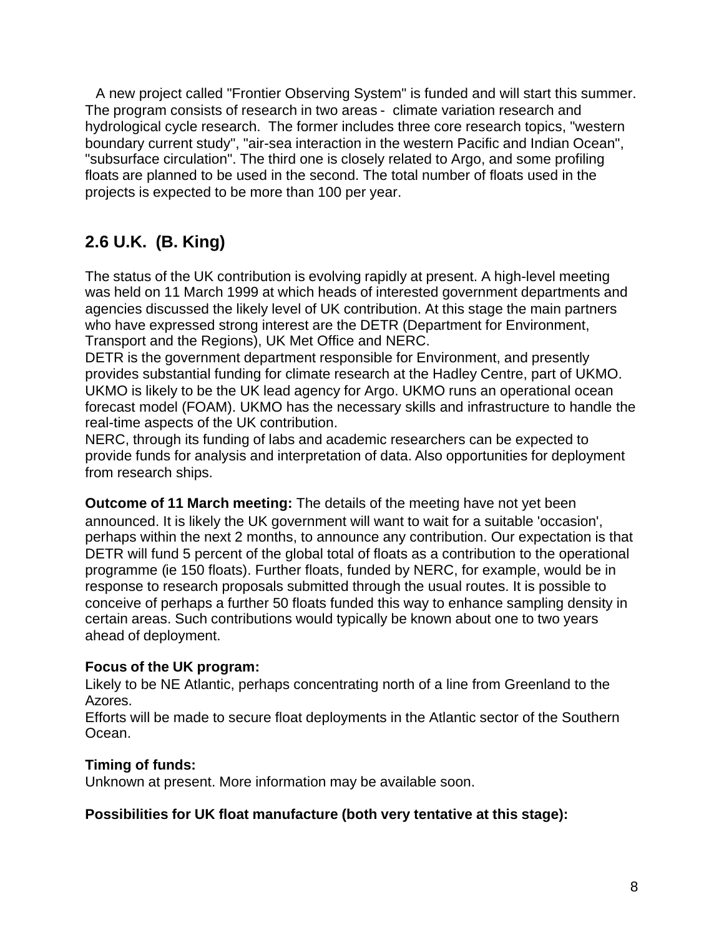A new project called "Frontier Observing System" is funded and will start this summer. The program consists of research in two areas - climate variation research and hydrological cycle research. The former includes three core research topics, "western boundary current study", "air-sea interaction in the western Pacific and Indian Ocean", "subsurface circulation". The third one is closely related to Argo, and some profiling floats are planned to be used in the second. The total number of floats used in the projects is expected to be more than 100 per year.

# **2.6 U.K. (B. King)**

The status of the UK contribution is evolving rapidly at present. A high-level meeting was held on 11 March 1999 at which heads of interested government departments and agencies discussed the likely level of UK contribution. At this stage the main partners who have expressed strong interest are the DETR (Department for Environment, Transport and the Regions), UK Met Office and NERC.

DETR is the government department responsible for Environment, and presently provides substantial funding for climate research at the Hadley Centre, part of UKMO. UKMO is likely to be the UK lead agency for Argo. UKMO runs an operational ocean forecast model (FOAM). UKMO has the necessary skills and infrastructure to handle the real-time aspects of the UK contribution.

NERC, through its funding of labs and academic researchers can be expected to provide funds for analysis and interpretation of data. Also opportunities for deployment from research ships.

**Outcome of 11 March meeting:** The details of the meeting have not yet been announced. It is likely the UK government will want to wait for a suitable 'occasion', perhaps within the next 2 months, to announce any contribution. Our expectation is that DETR will fund 5 percent of the global total of floats as a contribution to the operational programme (ie 150 floats). Further floats, funded by NERC, for example, would be in response to research proposals submitted through the usual routes. It is possible to conceive of perhaps a further 50 floats funded this way to enhance sampling density in certain areas. Such contributions would typically be known about one to two years ahead of deployment.

#### **Focus of the UK program:**

Likely to be NE Atlantic, perhaps concentrating north of a line from Greenland to the Azores.

Efforts will be made to secure float deployments in the Atlantic sector of the Southern Ocean.

#### **Timing of funds:**

Unknown at present. More information may be available soon.

#### **Possibilities for UK float manufacture (both very tentative at this stage):**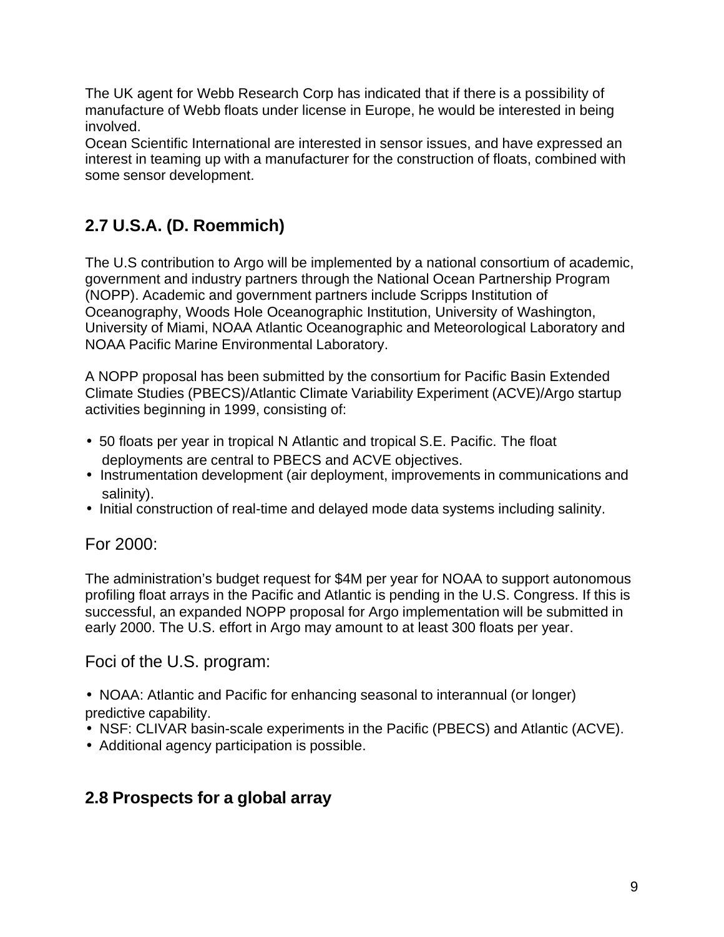The UK agent for Webb Research Corp has indicated that if there is a possibility of manufacture of Webb floats under license in Europe, he would be interested in being involved.

Ocean Scientific International are interested in sensor issues, and have expressed an interest in teaming up with a manufacturer for the construction of floats, combined with some sensor development.

# **2.7 U.S.A. (D. Roemmich)**

The U.S contribution to Argo will be implemented by a national consortium of academic, government and industry partners through the National Ocean Partnership Program (NOPP). Academic and government partners include Scripps Institution of Oceanography, Woods Hole Oceanographic Institution, University of Washington, University of Miami, NOAA Atlantic Oceanographic and Meteorological Laboratory and NOAA Pacific Marine Environmental Laboratory.

A NOPP proposal has been submitted by the consortium for Pacific Basin Extended Climate Studies (PBECS)/Atlantic Climate Variability Experiment (ACVE)/Argo startup activities beginning in 1999, consisting of:

- 50 floats per year in tropical N Atlantic and tropical S.E. Pacific. The float deployments are central to PBECS and ACVE objectives.
- Instrumentation development (air deployment, improvements in communications and salinity).
- Initial construction of real-time and delayed mode data systems including salinity.

### For 2000:

The administration's budget request for \$4M per year for NOAA to support autonomous profiling float arrays in the Pacific and Atlantic is pending in the U.S. Congress. If this is successful, an expanded NOPP proposal for Argo implementation will be submitted in early 2000. The U.S. effort in Argo may amount to at least 300 floats per year.

### Foci of the U.S. program:

- NOAA: Atlantic and Pacific for enhancing seasonal to interannual (or longer) predictive capability.
- NSF: CLIVAR basin-scale experiments in the Pacific (PBECS) and Atlantic (ACVE).
- Additional agency participation is possible.

### **2.8 Prospects for a global array**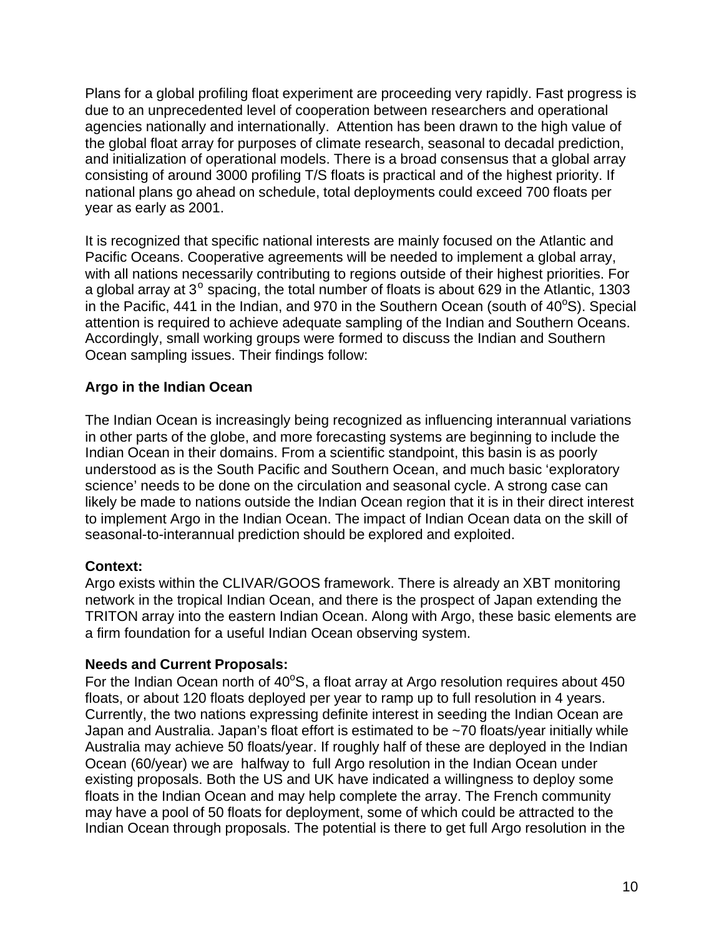Plans for a global profiling float experiment are proceeding very rapidly. Fast progress is due to an unprecedented level of cooperation between researchers and operational agencies nationally and internationally. Attention has been drawn to the high value of the global float array for purposes of climate research, seasonal to decadal prediction, and initialization of operational models. There is a broad consensus that a global array consisting of around 3000 profiling T/S floats is practical and of the highest priority. If national plans go ahead on schedule, total deployments could exceed 700 floats per year as early as 2001.

It is recognized that specific national interests are mainly focused on the Atlantic and Pacific Oceans. Cooperative agreements will be needed to implement a global array, with all nations necessarily contributing to regions outside of their highest priorities. For a global array at 3<sup>o</sup> spacing, the total number of floats is about 629 in the Atlantic, 1303 in the Pacific, 441 in the Indian, and 970 in the Southern Ocean (south of  $40^{\circ}$ S). Special attention is required to achieve adequate sampling of the Indian and Southern Oceans. Accordingly, small working groups were formed to discuss the Indian and Southern Ocean sampling issues. Their findings follow:

#### **Argo in the Indian Ocean**

The Indian Ocean is increasingly being recognized as influencing interannual variations in other parts of the globe, and more forecasting systems are beginning to include the Indian Ocean in their domains. From a scientific standpoint, this basin is as poorly understood as is the South Pacific and Southern Ocean, and much basic 'exploratory science' needs to be done on the circulation and seasonal cycle. A strong case can likely be made to nations outside the Indian Ocean region that it is in their direct interest to implement Argo in the Indian Ocean. The impact of Indian Ocean data on the skill of seasonal-to-interannual prediction should be explored and exploited.

#### **Context:**

Argo exists within the CLIVAR/GOOS framework. There is already an XBT monitoring network in the tropical Indian Ocean, and there is the prospect of Japan extending the TRITON array into the eastern Indian Ocean. Along with Argo, these basic elements are a firm foundation for a useful Indian Ocean observing system.

#### **Needs and Current Proposals:**

For the Indian Ocean north of  $40^{\circ}$ S, a float array at Argo resolution requires about 450 floats, or about 120 floats deployed per year to ramp up to full resolution in 4 years. Currently, the two nations expressing definite interest in seeding the Indian Ocean are Japan and Australia. Japan's float effort is estimated to be ~70 floats/year initially while Australia may achieve 50 floats/year. If roughly half of these are deployed in the Indian Ocean (60/year) we are halfway to full Argo resolution in the Indian Ocean under existing proposals. Both the US and UK have indicated a willingness to deploy some floats in the Indian Ocean and may help complete the array. The French community may have a pool of 50 floats for deployment, some of which could be attracted to the Indian Ocean through proposals. The potential is there to get full Argo resolution in the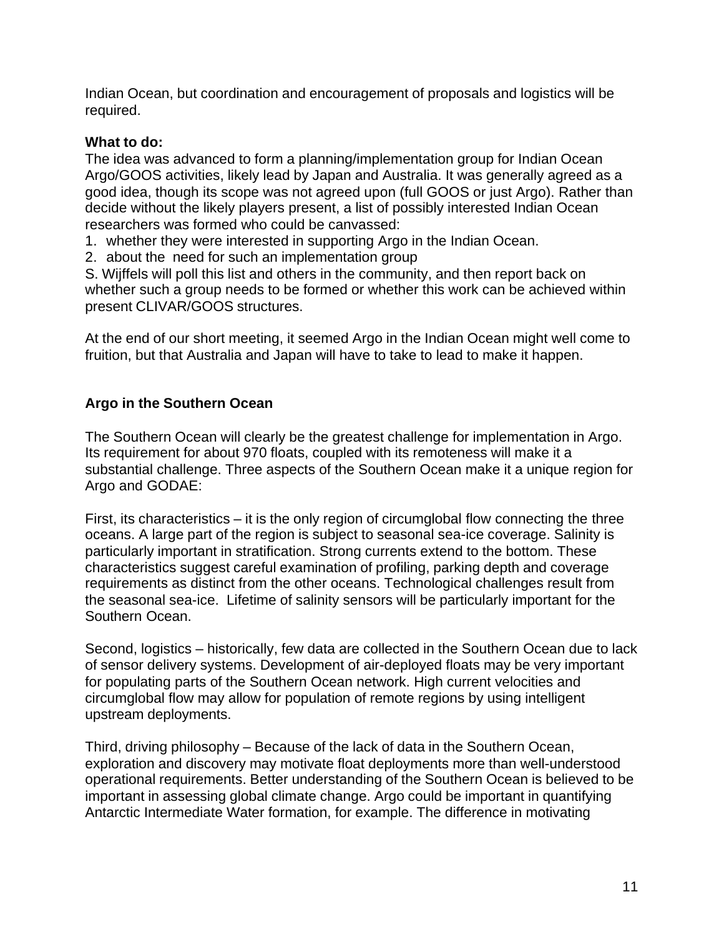Indian Ocean, but coordination and encouragement of proposals and logistics will be required.

#### **What to do:**

The idea was advanced to form a planning/implementation group for Indian Ocean Argo/GOOS activities, likely lead by Japan and Australia. It was generally agreed as a good idea, though its scope was not agreed upon (full GOOS or just Argo). Rather than decide without the likely players present, a list of possibly interested Indian Ocean researchers was formed who could be canvassed:

- 1. whether they were interested in supporting Argo in the Indian Ocean.
- 2. about the need for such an implementation group

S. Wijffels will poll this list and others in the community, and then report back on whether such a group needs to be formed or whether this work can be achieved within present CLIVAR/GOOS structures.

At the end of our short meeting, it seemed Argo in the Indian Ocean might well come to fruition, but that Australia and Japan will have to take to lead to make it happen.

#### **Argo in the Southern Ocean**

The Southern Ocean will clearly be the greatest challenge for implementation in Argo. Its requirement for about 970 floats, coupled with its remoteness will make it a substantial challenge. Three aspects of the Southern Ocean make it a unique region for Argo and GODAE:

First, its characteristics – it is the only region of circumglobal flow connecting the three oceans. A large part of the region is subject to seasonal sea-ice coverage. Salinity is particularly important in stratification. Strong currents extend to the bottom. These characteristics suggest careful examination of profiling, parking depth and coverage requirements as distinct from the other oceans. Technological challenges result from the seasonal sea-ice. Lifetime of salinity sensors will be particularly important for the Southern Ocean.

Second, logistics – historically, few data are collected in the Southern Ocean due to lack of sensor delivery systems. Development of air-deployed floats may be very important for populating parts of the Southern Ocean network. High current velocities and circumglobal flow may allow for population of remote regions by using intelligent upstream deployments.

Third, driving philosophy – Because of the lack of data in the Southern Ocean, exploration and discovery may motivate float deployments more than well-understood operational requirements. Better understanding of the Southern Ocean is believed to be important in assessing global climate change. Argo could be important in quantifying Antarctic Intermediate Water formation, for example. The difference in motivating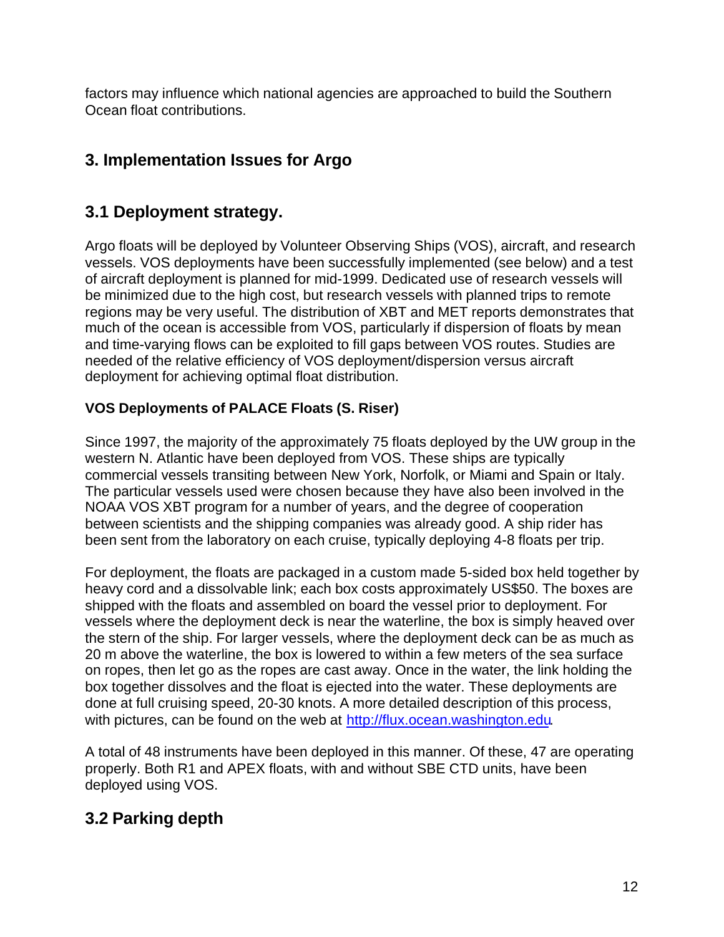factors may influence which national agencies are approached to build the Southern Ocean float contributions.

# **3. Implementation Issues for Argo**

### **3.1 Deployment strategy.**

Argo floats will be deployed by Volunteer Observing Ships (VOS), aircraft, and research vessels. VOS deployments have been successfully implemented (see below) and a test of aircraft deployment is planned for mid-1999. Dedicated use of research vessels will be minimized due to the high cost, but research vessels with planned trips to remote regions may be very useful. The distribution of XBT and MET reports demonstrates that much of the ocean is accessible from VOS, particularly if dispersion of floats by mean and time-varying flows can be exploited to fill gaps between VOS routes. Studies are needed of the relative efficiency of VOS deployment/dispersion versus aircraft deployment for achieving optimal float distribution.

### **VOS Deployments of PALACE Floats (S. Riser)**

Since 1997, the majority of the approximately 75 floats deployed by the UW group in the western N. Atlantic have been deployed from VOS. These ships are typically commercial vessels transiting between New York, Norfolk, or Miami and Spain or Italy. The particular vessels used were chosen because they have also been involved in the NOAA VOS XBT program for a number of years, and the degree of cooperation between scientists and the shipping companies was already good. A ship rider has been sent from the laboratory on each cruise, typically deploying 4-8 floats per trip.

For deployment, the floats are packaged in a custom made 5-sided box held together by heavy cord and a dissolvable link; each box costs approximately US\$50. The boxes are shipped with the floats and assembled on board the vessel prior to deployment. For vessels where the deployment deck is near the waterline, the box is simply heaved over the stern of the ship. For larger vessels, where the deployment deck can be as much as 20 m above the waterline, the box is lowered to within a few meters of the sea surface on ropes, then let go as the ropes are cast away. Once in the water, the link holding the box together dissolves and the float is ejected into the water. These deployments are done at full cruising speed, 20-30 knots. A more detailed description of this process, with pictures, can be found on the web at http://flux.ocean.washington.edu.

A total of 48 instruments have been deployed in this manner. Of these, 47 are operating properly. Both R1 and APEX floats, with and without SBE CTD units, have been deployed using VOS.

# **3.2 Parking depth**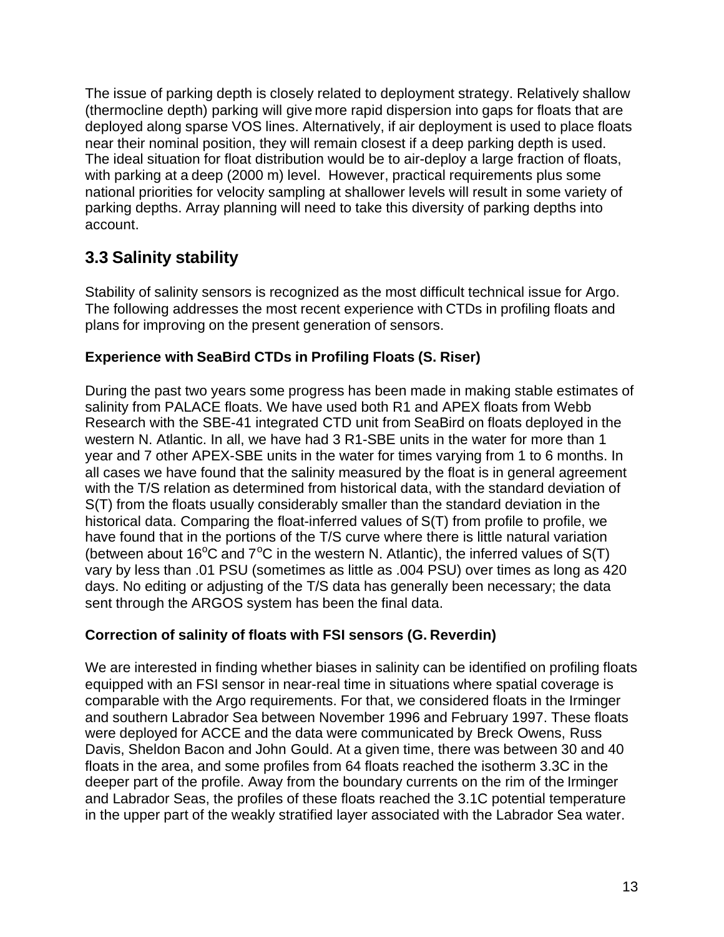The issue of parking depth is closely related to deployment strategy. Relatively shallow (thermocline depth) parking will give more rapid dispersion into gaps for floats that are deployed along sparse VOS lines. Alternatively, if air deployment is used to place floats near their nominal position, they will remain closest if a deep parking depth is used. The ideal situation for float distribution would be to air-deploy a large fraction of floats, with parking at a deep (2000 m) level. However, practical requirements plus some national priorities for velocity sampling at shallower levels will result in some variety of parking depths. Array planning will need to take this diversity of parking depths into account.

## **3.3 Salinity stability**

Stability of salinity sensors is recognized as the most difficult technical issue for Argo. The following addresses the most recent experience with CTDs in profiling floats and plans for improving on the present generation of sensors.

#### **Experience with SeaBird CTDs in Profiling Floats (S. Riser)**

During the past two years some progress has been made in making stable estimates of salinity from PALACE floats. We have used both R1 and APEX floats from Webb Research with the SBE-41 integrated CTD unit from SeaBird on floats deployed in the western N. Atlantic. In all, we have had 3 R1-SBE units in the water for more than 1 year and 7 other APEX-SBE units in the water for times varying from 1 to 6 months. In all cases we have found that the salinity measured by the float is in general agreement with the T/S relation as determined from historical data, with the standard deviation of S(T) from the floats usually considerably smaller than the standard deviation in the historical data. Comparing the float-inferred values of S(T) from profile to profile, we have found that in the portions of the T/S curve where there is little natural variation (between about 16<sup>o</sup>C and  $7^{\circ}$ C in the western N. Atlantic), the inferred values of S(T) vary by less than .01 PSU (sometimes as little as .004 PSU) over times as long as 420 days. No editing or adjusting of the T/S data has generally been necessary; the data sent through the ARGOS system has been the final data.

#### **Correction of salinity of floats with FSI sensors (G. Reverdin)**

We are interested in finding whether biases in salinity can be identified on profiling floats equipped with an FSI sensor in near-real time in situations where spatial coverage is comparable with the Argo requirements. For that, we considered floats in the Irminger and southern Labrador Sea between November 1996 and February 1997. These floats were deployed for ACCE and the data were communicated by Breck Owens, Russ Davis, Sheldon Bacon and John Gould. At a given time, there was between 30 and 40 floats in the area, and some profiles from 64 floats reached the isotherm 3.3C in the deeper part of the profile. Away from the boundary currents on the rim of the Irminger and Labrador Seas, the profiles of these floats reached the 3.1C potential temperature in the upper part of the weakly stratified layer associated with the Labrador Sea water.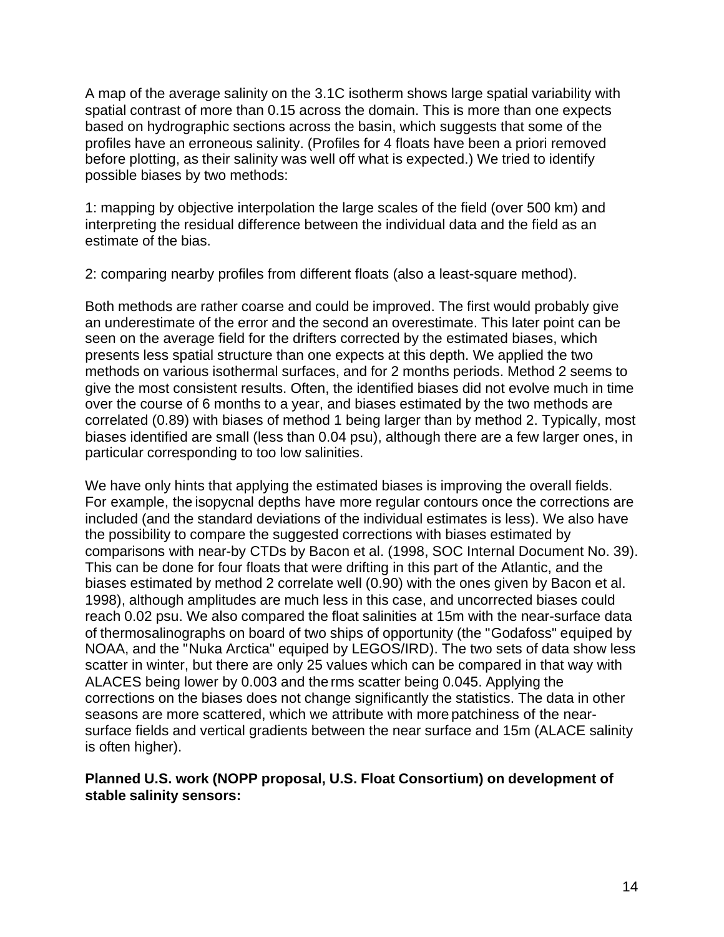A map of the average salinity on the 3.1C isotherm shows large spatial variability with spatial contrast of more than 0.15 across the domain. This is more than one expects based on hydrographic sections across the basin, which suggests that some of the profiles have an erroneous salinity. (Profiles for 4 floats have been a priori removed before plotting, as their salinity was well off what is expected.) We tried to identify possible biases by two methods:

1: mapping by objective interpolation the large scales of the field (over 500 km) and interpreting the residual difference between the individual data and the field as an estimate of the bias.

2: comparing nearby profiles from different floats (also a least-square method).

Both methods are rather coarse and could be improved. The first would probably give an underestimate of the error and the second an overestimate. This later point can be seen on the average field for the drifters corrected by the estimated biases, which presents less spatial structure than one expects at this depth. We applied the two methods on various isothermal surfaces, and for 2 months periods. Method 2 seems to give the most consistent results. Often, the identified biases did not evolve much in time over the course of 6 months to a year, and biases estimated by the two methods are correlated (0.89) with biases of method 1 being larger than by method 2. Typically, most biases identified are small (less than 0.04 psu), although there are a few larger ones, in particular corresponding to too low salinities.

We have only hints that applying the estimated biases is improving the overall fields. For example, the isopycnal depths have more regular contours once the corrections are included (and the standard deviations of the individual estimates is less). We also have the possibility to compare the suggested corrections with biases estimated by comparisons with near-by CTDs by Bacon et al. (1998, SOC Internal Document No. 39). This can be done for four floats that were drifting in this part of the Atlantic, and the biases estimated by method 2 correlate well (0.90) with the ones given by Bacon et al. 1998), although amplitudes are much less in this case, and uncorrected biases could reach 0.02 psu. We also compared the float salinities at 15m with the near-surface data of thermosalinographs on board of two ships of opportunity (the "Godafoss" equiped by NOAA, and the "Nuka Arctica" equiped by LEGOS/IRD). The two sets of data show less scatter in winter, but there are only 25 values which can be compared in that way with ALACES being lower by 0.003 and the rms scatter being 0.045. Applying the corrections on the biases does not change significantly the statistics. The data in other seasons are more scattered, which we attribute with more patchiness of the nearsurface fields and vertical gradients between the near surface and 15m (ALACE salinity is often higher).

#### **Planned U.S. work (NOPP proposal, U.S. Float Consortium) on development of stable salinity sensors:**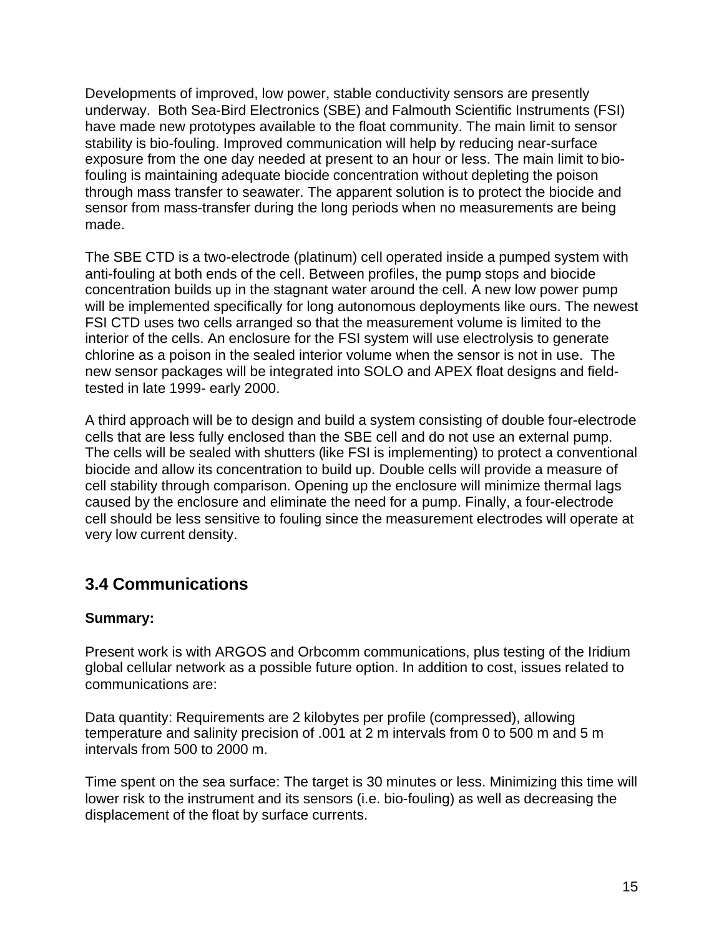Developments of improved, low power, stable conductivity sensors are presently underway. Both Sea-Bird Electronics (SBE) and Falmouth Scientific Instruments (FSI) have made new prototypes available to the float community. The main limit to sensor stability is bio-fouling. Improved communication will help by reducing near-surface exposure from the one day needed at present to an hour or less. The main limit to biofouling is maintaining adequate biocide concentration without depleting the poison through mass transfer to seawater. The apparent solution is to protect the biocide and sensor from mass-transfer during the long periods when no measurements are being made.

The SBE CTD is a two-electrode (platinum) cell operated inside a pumped system with anti-fouling at both ends of the cell. Between profiles, the pump stops and biocide concentration builds up in the stagnant water around the cell. A new low power pump will be implemented specifically for long autonomous deployments like ours. The newest FSI CTD uses two cells arranged so that the measurement volume is limited to the interior of the cells. An enclosure for the FSI system will use electrolysis to generate chlorine as a poison in the sealed interior volume when the sensor is not in use. The new sensor packages will be integrated into SOLO and APEX float designs and fieldtested in late 1999- early 2000.

A third approach will be to design and build a system consisting of double four-electrode cells that are less fully enclosed than the SBE cell and do not use an external pump. The cells will be sealed with shutters (like FSI is implementing) to protect a conventional biocide and allow its concentration to build up. Double cells will provide a measure of cell stability through comparison. Opening up the enclosure will minimize thermal lags caused by the enclosure and eliminate the need for a pump. Finally, a four-electrode cell should be less sensitive to fouling since the measurement electrodes will operate at very low current density.

### **3.4 Communications**

#### **Summary:**

Present work is with ARGOS and Orbcomm communications, plus testing of the Iridium global cellular network as a possible future option. In addition to cost, issues related to communications are:

Data quantity: Requirements are 2 kilobytes per profile (compressed), allowing temperature and salinity precision of .001 at 2 m intervals from 0 to 500 m and 5 m intervals from 500 to 2000 m.

Time spent on the sea surface: The target is 30 minutes or less. Minimizing this time will lower risk to the instrument and its sensors (i.e. bio-fouling) as well as decreasing the displacement of the float by surface currents.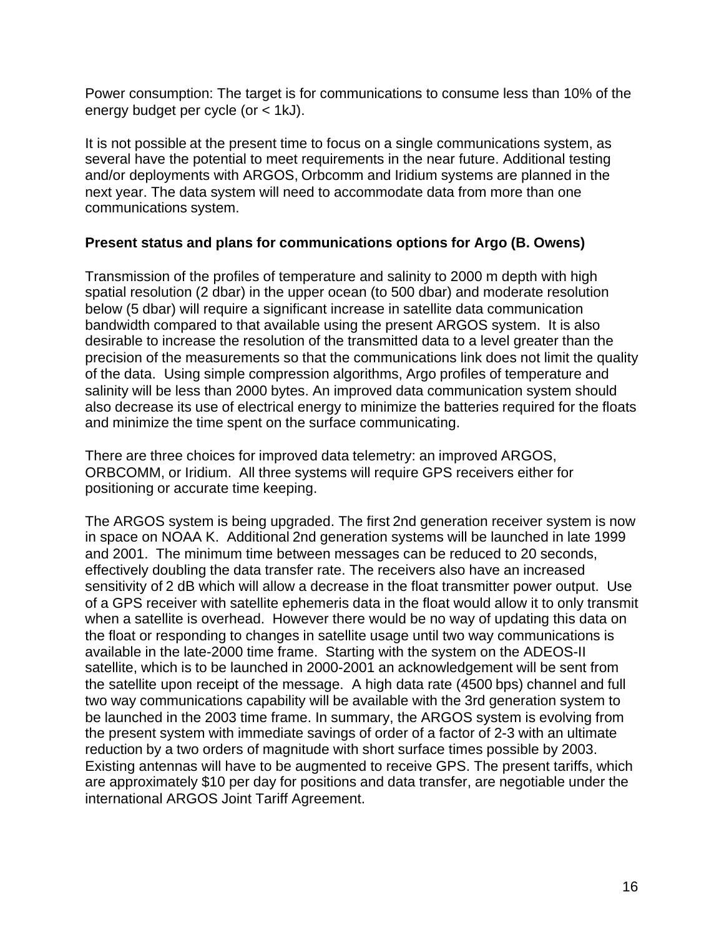Power consumption: The target is for communications to consume less than 10% of the energy budget per cycle (or < 1kJ).

It is not possible at the present time to focus on a single communications system, as several have the potential to meet requirements in the near future. Additional testing and/or deployments with ARGOS, Orbcomm and Iridium systems are planned in the next year. The data system will need to accommodate data from more than one communications system.

#### **Present status and plans for communications options for Argo (B. Owens)**

Transmission of the profiles of temperature and salinity to 2000 m depth with high spatial resolution (2 dbar) in the upper ocean (to 500 dbar) and moderate resolution below (5 dbar) will require a significant increase in satellite data communication bandwidth compared to that available using the present ARGOS system. It is also desirable to increase the resolution of the transmitted data to a level greater than the precision of the measurements so that the communications link does not limit the quality of the data. Using simple compression algorithms, Argo profiles of temperature and salinity will be less than 2000 bytes. An improved data communication system should also decrease its use of electrical energy to minimize the batteries required for the floats and minimize the time spent on the surface communicating.

There are three choices for improved data telemetry: an improved ARGOS, ORBCOMM, or Iridium. All three systems will require GPS receivers either for positioning or accurate time keeping.

The ARGOS system is being upgraded. The first 2nd generation receiver system is now in space on NOAA K. Additional 2nd generation systems will be launched in late 1999 and 2001. The minimum time between messages can be reduced to 20 seconds, effectively doubling the data transfer rate. The receivers also have an increased sensitivity of 2 dB which will allow a decrease in the float transmitter power output. Use of a GPS receiver with satellite ephemeris data in the float would allow it to only transmit when a satellite is overhead. However there would be no way of updating this data on the float or responding to changes in satellite usage until two way communications is available in the late-2000 time frame. Starting with the system on the ADEOS-II satellite, which is to be launched in 2000-2001 an acknowledgement will be sent from the satellite upon receipt of the message. A high data rate (4500 bps) channel and full two way communications capability will be available with the 3rd generation system to be launched in the 2003 time frame. In summary, the ARGOS system is evolving from the present system with immediate savings of order of a factor of 2-3 with an ultimate reduction by a two orders of magnitude with short surface times possible by 2003. Existing antennas will have to be augmented to receive GPS. The present tariffs, which are approximately \$10 per day for positions and data transfer, are negotiable under the international ARGOS Joint Tariff Agreement.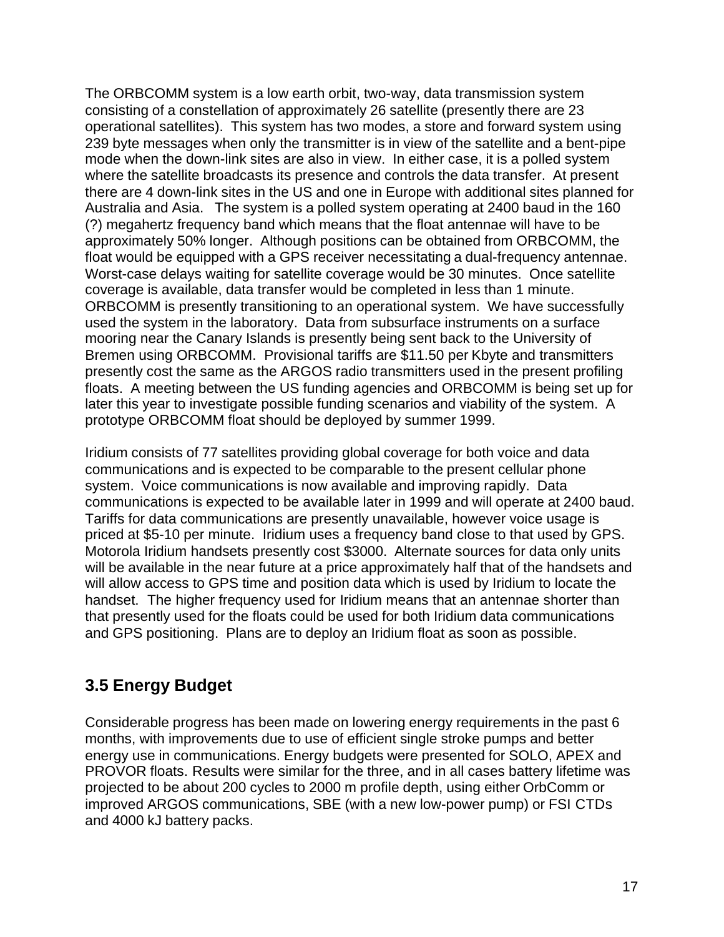The ORBCOMM system is a low earth orbit, two-way, data transmission system consisting of a constellation of approximately 26 satellite (presently there are 23 operational satellites). This system has two modes, a store and forward system using 239 byte messages when only the transmitter is in view of the satellite and a bent-pipe mode when the down-link sites are also in view. In either case, it is a polled system where the satellite broadcasts its presence and controls the data transfer. At present there are 4 down-link sites in the US and one in Europe with additional sites planned for Australia and Asia. The system is a polled system operating at 2400 baud in the 160 (?) megahertz frequency band which means that the float antennae will have to be approximately 50% longer. Although positions can be obtained from ORBCOMM, the float would be equipped with a GPS receiver necessitating a dual-frequency antennae. Worst-case delays waiting for satellite coverage would be 30 minutes. Once satellite coverage is available, data transfer would be completed in less than 1 minute. ORBCOMM is presently transitioning to an operational system. We have successfully used the system in the laboratory. Data from subsurface instruments on a surface mooring near the Canary Islands is presently being sent back to the University of Bremen using ORBCOMM. Provisional tariffs are \$11.50 per Kbyte and transmitters presently cost the same as the ARGOS radio transmitters used in the present profiling floats. A meeting between the US funding agencies and ORBCOMM is being set up for later this year to investigate possible funding scenarios and viability of the system. A prototype ORBCOMM float should be deployed by summer 1999.

Iridium consists of 77 satellites providing global coverage for both voice and data communications and is expected to be comparable to the present cellular phone system. Voice communications is now available and improving rapidly. Data communications is expected to be available later in 1999 and will operate at 2400 baud. Tariffs for data communications are presently unavailable, however voice usage is priced at \$5-10 per minute. Iridium uses a frequency band close to that used by GPS. Motorola Iridium handsets presently cost \$3000. Alternate sources for data only units will be available in the near future at a price approximately half that of the handsets and will allow access to GPS time and position data which is used by Iridium to locate the handset. The higher frequency used for Iridium means that an antennae shorter than that presently used for the floats could be used for both Iridium data communications and GPS positioning. Plans are to deploy an Iridium float as soon as possible.

### **3.5 Energy Budget**

Considerable progress has been made on lowering energy requirements in the past 6 months, with improvements due to use of efficient single stroke pumps and better energy use in communications. Energy budgets were presented for SOLO, APEX and PROVOR floats. Results were similar for the three, and in all cases battery lifetime was projected to be about 200 cycles to 2000 m profile depth, using either OrbComm or improved ARGOS communications, SBE (with a new low-power pump) or FSI CTDs and 4000 kJ battery packs.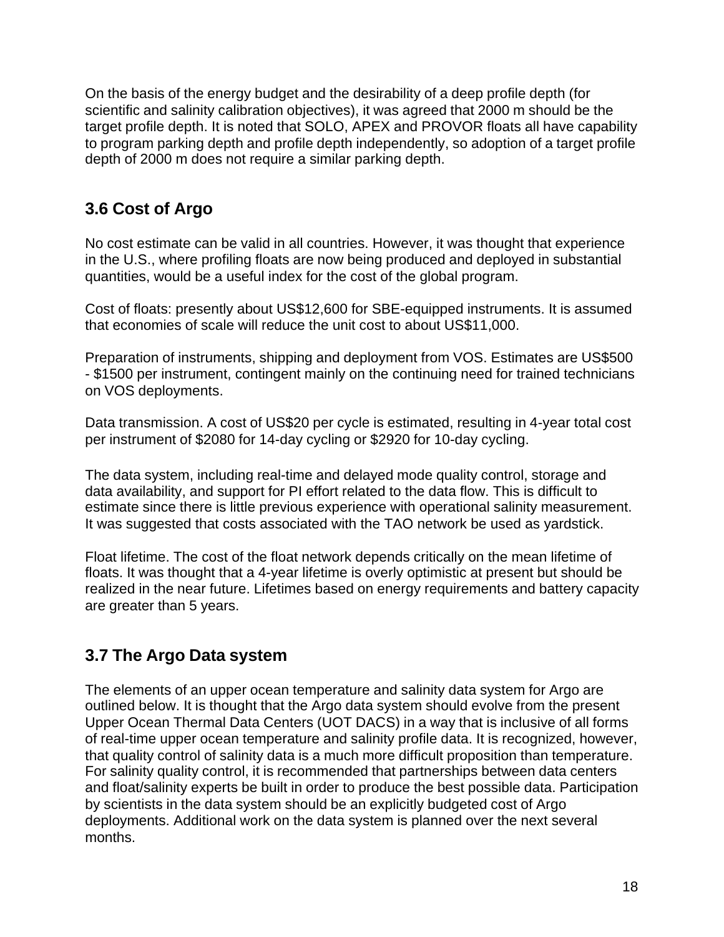On the basis of the energy budget and the desirability of a deep profile depth (for scientific and salinity calibration objectives), it was agreed that 2000 m should be the target profile depth. It is noted that SOLO, APEX and PROVOR floats all have capability to program parking depth and profile depth independently, so adoption of a target profile depth of 2000 m does not require a similar parking depth.

## **3.6 Cost of Argo**

No cost estimate can be valid in all countries. However, it was thought that experience in the U.S., where profiling floats are now being produced and deployed in substantial quantities, would be a useful index for the cost of the global program.

Cost of floats: presently about US\$12,600 for SBE-equipped instruments. It is assumed that economies of scale will reduce the unit cost to about US\$11,000.

Preparation of instruments, shipping and deployment from VOS. Estimates are US\$500 - \$1500 per instrument, contingent mainly on the continuing need for trained technicians on VOS deployments.

Data transmission. A cost of US\$20 per cycle is estimated, resulting in 4-year total cost per instrument of \$2080 for 14-day cycling or \$2920 for 10-day cycling.

The data system, including real-time and delayed mode quality control, storage and data availability, and support for PI effort related to the data flow. This is difficult to estimate since there is little previous experience with operational salinity measurement. It was suggested that costs associated with the TAO network be used as yardstick.

Float lifetime. The cost of the float network depends critically on the mean lifetime of floats. It was thought that a 4-year lifetime is overly optimistic at present but should be realized in the near future. Lifetimes based on energy requirements and battery capacity are greater than 5 years.

## **3.7 The Argo Data system**

The elements of an upper ocean temperature and salinity data system for Argo are outlined below. It is thought that the Argo data system should evolve from the present Upper Ocean Thermal Data Centers (UOT DACS) in a way that is inclusive of all forms of real-time upper ocean temperature and salinity profile data. It is recognized, however, that quality control of salinity data is a much more difficult proposition than temperature. For salinity quality control, it is recommended that partnerships between data centers and float/salinity experts be built in order to produce the best possible data. Participation by scientists in the data system should be an explicitly budgeted cost of Argo deployments. Additional work on the data system is planned over the next several months.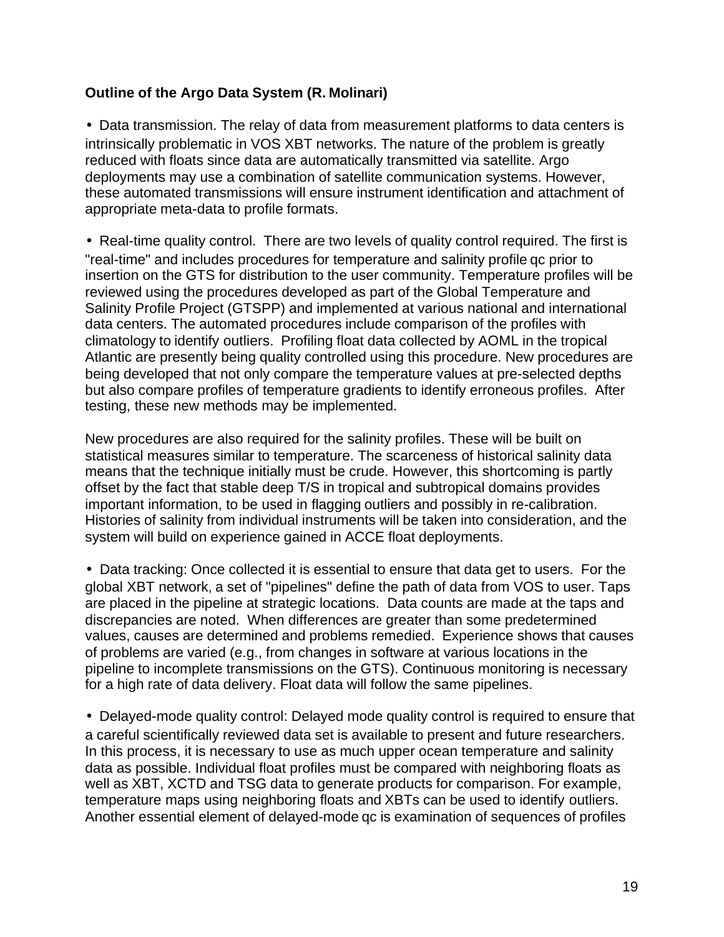#### **Outline of the Argo Data System (R. Molinari)**

• Data transmission. The relay of data from measurement platforms to data centers is intrinsically problematic in VOS XBT networks. The nature of the problem is greatly reduced with floats since data are automatically transmitted via satellite. Argo deployments may use a combination of satellite communication systems. However, these automated transmissions will ensure instrument identification and attachment of appropriate meta-data to profile formats.

• Real-time quality control. There are two levels of quality control required. The first is "real-time" and includes procedures for temperature and salinity profile qc prior to insertion on the GTS for distribution to the user community. Temperature profiles will be reviewed using the procedures developed as part of the Global Temperature and Salinity Profile Project (GTSPP) and implemented at various national and international data centers. The automated procedures include comparison of the profiles with climatology to identify outliers. Profiling float data collected by AOML in the tropical Atlantic are presently being quality controlled using this procedure. New procedures are being developed that not only compare the temperature values at pre-selected depths but also compare profiles of temperature gradients to identify erroneous profiles. After testing, these new methods may be implemented.

New procedures are also required for the salinity profiles. These will be built on statistical measures similar to temperature. The scarceness of historical salinity data means that the technique initially must be crude. However, this shortcoming is partly offset by the fact that stable deep T/S in tropical and subtropical domains provides important information, to be used in flagging outliers and possibly in re-calibration. Histories of salinity from individual instruments will be taken into consideration, and the system will build on experience gained in ACCE float deployments.

• Data tracking: Once collected it is essential to ensure that data get to users. For the global XBT network, a set of "pipelines" define the path of data from VOS to user. Taps are placed in the pipeline at strategic locations. Data counts are made at the taps and discrepancies are noted. When differences are greater than some predetermined values, causes are determined and problems remedied. Experience shows that causes of problems are varied (e.g., from changes in software at various locations in the pipeline to incomplete transmissions on the GTS). Continuous monitoring is necessary for a high rate of data delivery. Float data will follow the same pipelines.

• Delayed-mode quality control: Delayed mode quality control is required to ensure that a careful scientifically reviewed data set is available to present and future researchers. In this process, it is necessary to use as much upper ocean temperature and salinity data as possible. Individual float profiles must be compared with neighboring floats as well as XBT, XCTD and TSG data to generate products for comparison. For example, temperature maps using neighboring floats and XBTs can be used to identify outliers. Another essential element of delayed-mode qc is examination of sequences of profiles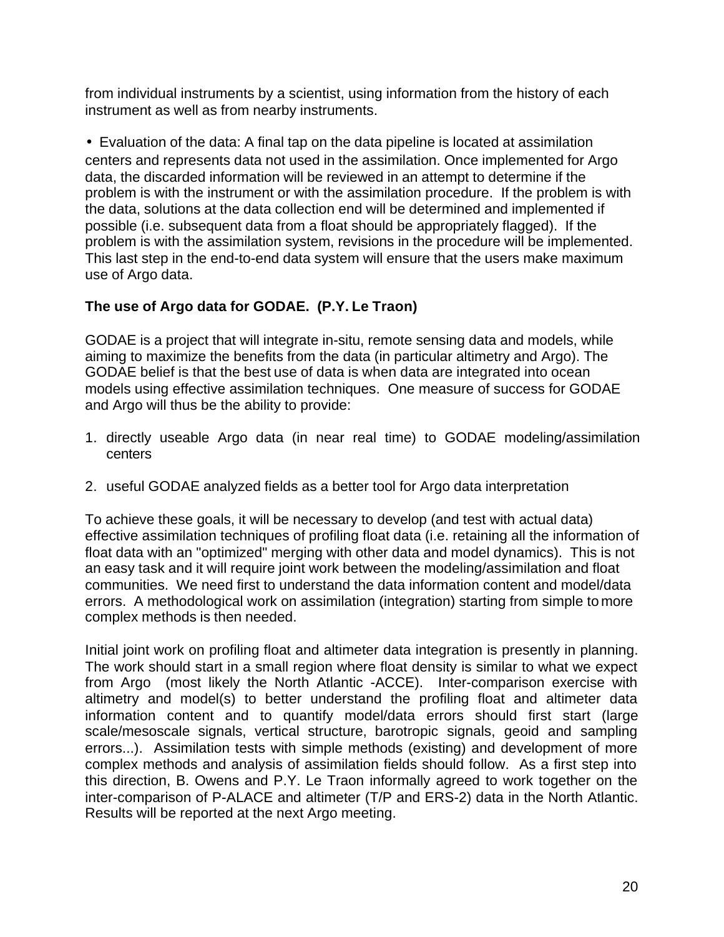from individual instruments by a scientist, using information from the history of each instrument as well as from nearby instruments.

• Evaluation of the data: A final tap on the data pipeline is located at assimilation centers and represents data not used in the assimilation. Once implemented for Argo data, the discarded information will be reviewed in an attempt to determine if the problem is with the instrument or with the assimilation procedure. If the problem is with the data, solutions at the data collection end will be determined and implemented if possible (i.e. subsequent data from a float should be appropriately flagged). If the problem is with the assimilation system, revisions in the procedure will be implemented. This last step in the end-to-end data system will ensure that the users make maximum use of Argo data.

#### **The use of Argo data for GODAE. (P.Y. Le Traon)**

GODAE is a project that will integrate in-situ, remote sensing data and models, while aiming to maximize the benefits from the data (in particular altimetry and Argo). The GODAE belief is that the best use of data is when data are integrated into ocean models using effective assimilation techniques. One measure of success for GODAE and Argo will thus be the ability to provide:

- 1. directly useable Argo data (in near real time) to GODAE modeling/assimilation centers
- 2. useful GODAE analyzed fields as a better tool for Argo data interpretation

To achieve these goals, it will be necessary to develop (and test with actual data) effective assimilation techniques of profiling float data (i.e. retaining all the information of float data with an "optimized" merging with other data and model dynamics). This is not an easy task and it will require joint work between the modeling/assimilation and float communities. We need first to understand the data information content and model/data errors. A methodological work on assimilation (integration) starting from simple to more complex methods is then needed.

Initial joint work on profiling float and altimeter data integration is presently in planning. The work should start in a small region where float density is similar to what we expect from Argo (most likely the North Atlantic -ACCE). Inter-comparison exercise with altimetry and model(s) to better understand the profiling float and altimeter data information content and to quantify model/data errors should first start (large scale/mesoscale signals, vertical structure, barotropic signals, geoid and sampling errors...). Assimilation tests with simple methods (existing) and development of more complex methods and analysis of assimilation fields should follow. As a first step into this direction, B. Owens and P.Y. Le Traon informally agreed to work together on the inter-comparison of P-ALACE and altimeter (T/P and ERS-2) data in the North Atlantic. Results will be reported at the next Argo meeting.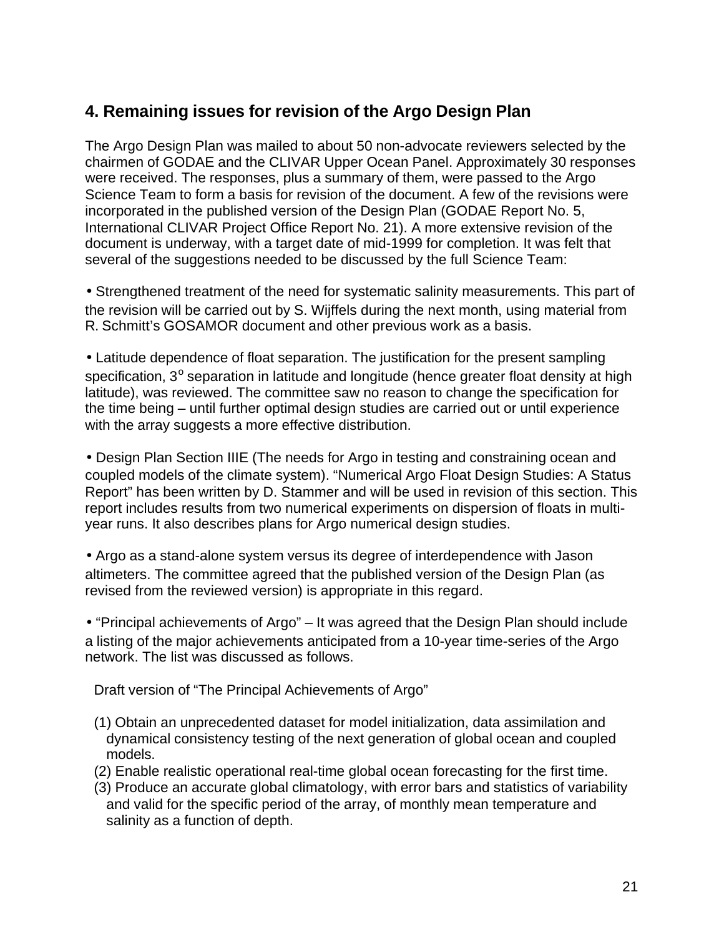## **4. Remaining issues for revision of the Argo Design Plan**

The Argo Design Plan was mailed to about 50 non-advocate reviewers selected by the chairmen of GODAE and the CLIVAR Upper Ocean Panel. Approximately 30 responses were received. The responses, plus a summary of them, were passed to the Argo Science Team to form a basis for revision of the document. A few of the revisions were incorporated in the published version of the Design Plan (GODAE Report No. 5, International CLIVAR Project Office Report No. 21). A more extensive revision of the document is underway, with a target date of mid-1999 for completion. It was felt that several of the suggestions needed to be discussed by the full Science Team:

• Strengthened treatment of the need for systematic salinity measurements. This part of the revision will be carried out by S. Wijffels during the next month, using material from R. Schmitt's GOSAMOR document and other previous work as a basis.

• Latitude dependence of float separation. The justification for the present sampling specification, 3<sup>°</sup> separation in latitude and longitude (hence greater float density at high latitude), was reviewed. The committee saw no reason to change the specification for the time being – until further optimal design studies are carried out or until experience with the array suggests a more effective distribution.

• Design Plan Section IIIE (The needs for Argo in testing and constraining ocean and coupled models of the climate system). "Numerical Argo Float Design Studies: A Status Report" has been written by D. Stammer and will be used in revision of this section. This report includes results from two numerical experiments on dispersion of floats in multiyear runs. It also describes plans for Argo numerical design studies.

• Argo as a stand-alone system versus its degree of interdependence with Jason altimeters. The committee agreed that the published version of the Design Plan (as revised from the reviewed version) is appropriate in this regard.

• "Principal achievements of Argo" – It was agreed that the Design Plan should include a listing of the major achievements anticipated from a 10-year time-series of the Argo network. The list was discussed as follows.

Draft version of "The Principal Achievements of Argo"

- (1) Obtain an unprecedented dataset for model initialization, data assimilation and dynamical consistency testing of the next generation of global ocean and coupled models.
- (2) Enable realistic operational real-time global ocean forecasting for the first time.
- (3) Produce an accurate global climatology, with error bars and statistics of variability and valid for the specific period of the array, of monthly mean temperature and salinity as a function of depth.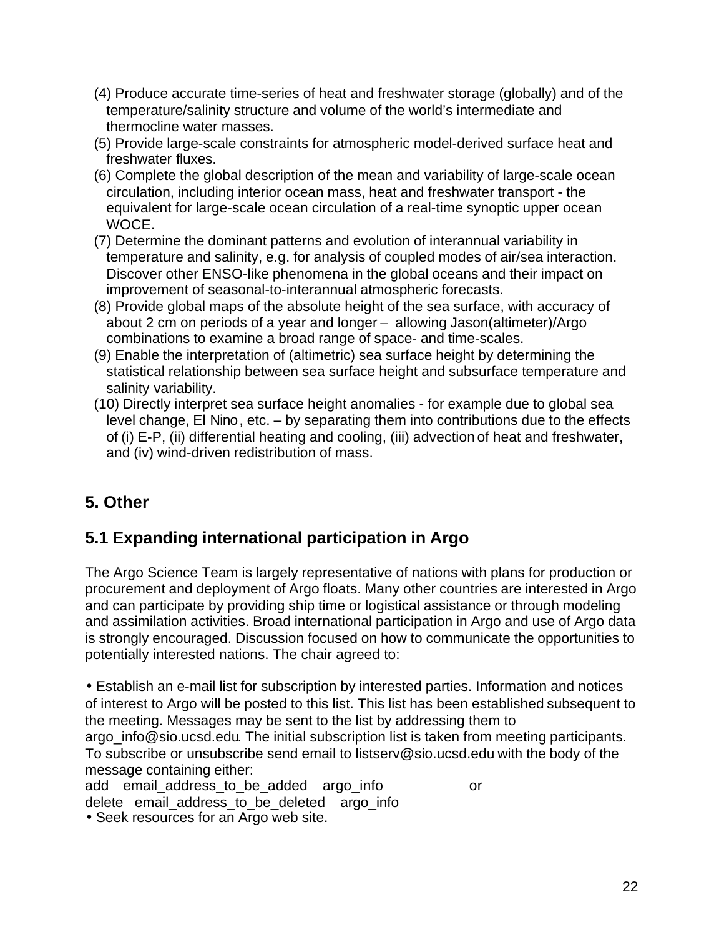- (4) Produce accurate time-series of heat and freshwater storage (globally) and of the temperature/salinity structure and volume of the world's intermediate and thermocline water masses.
- (5) Provide large-scale constraints for atmospheric model-derived surface heat and freshwater fluxes.
- (6) Complete the global description of the mean and variability of large-scale ocean circulation, including interior ocean mass, heat and freshwater transport - the equivalent for large-scale ocean circulation of a real-time synoptic upper ocean WOCE.
- (7) Determine the dominant patterns and evolution of interannual variability in temperature and salinity, e.g. for analysis of coupled modes of air/sea interaction. Discover other ENSO-like phenomena in the global oceans and their impact on improvement of seasonal-to-interannual atmospheric forecasts.
- (8) Provide global maps of the absolute height of the sea surface, with accuracy of about 2 cm on periods of a year and longer – allowing Jason(altimeter)/Argo combinations to examine a broad range of space- and time-scales.
- (9) Enable the interpretation of (altimetric) sea surface height by determining the statistical relationship between sea surface height and subsurface temperature and salinity variability.
- (10) Directly interpret sea surface height anomalies for example due to global sea level change, El Nino, etc. – by separating them into contributions due to the effects of (i) E-P, (ii) differential heating and cooling, (iii) advection of heat and freshwater, and (iv) wind-driven redistribution of mass.

# **5. Other**

# **5.1 Expanding international participation in Argo**

The Argo Science Team is largely representative of nations with plans for production or procurement and deployment of Argo floats. Many other countries are interested in Argo and can participate by providing ship time or logistical assistance or through modeling and assimilation activities. Broad international participation in Argo and use of Argo data is strongly encouraged. Discussion focused on how to communicate the opportunities to potentially interested nations. The chair agreed to:

• Establish an e-mail list for subscription by interested parties. Information and notices of interest to Argo will be posted to this list. This list has been established subsequent to the meeting. Messages may be sent to the list by addressing them to argo info@sio.ucsd.edu. The initial subscription list is taken from meeting participants.

To subscribe or unsubscribe send email to listserv@sio.ucsd.edu with the body of the message containing either:

add email address to be added argo info or delete email address to be deleted argo info • Seek resources for an Argo web site.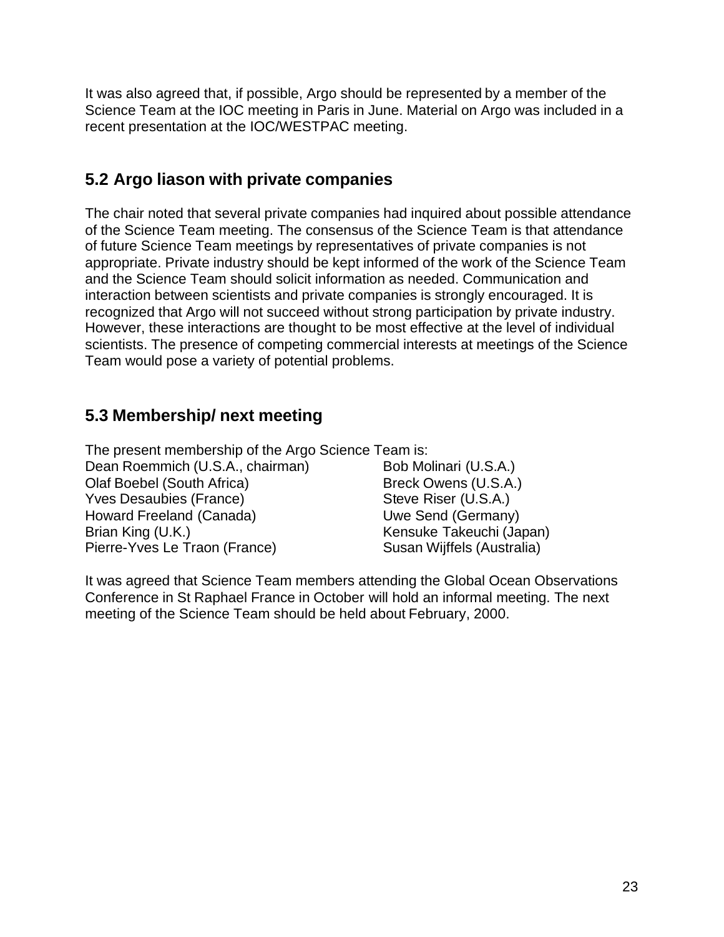It was also agreed that, if possible, Argo should be represented by a member of the Science Team at the IOC meeting in Paris in June. Material on Argo was included in a recent presentation at the IOC/WESTPAC meeting.

## **5.2 Argo liason with private companies**

The chair noted that several private companies had inquired about possible attendance of the Science Team meeting. The consensus of the Science Team is that attendance of future Science Team meetings by representatives of private companies is not appropriate. Private industry should be kept informed of the work of the Science Team and the Science Team should solicit information as needed. Communication and interaction between scientists and private companies is strongly encouraged. It is recognized that Argo will not succeed without strong participation by private industry. However, these interactions are thought to be most effective at the level of individual scientists. The presence of competing commercial interests at meetings of the Science Team would pose a variety of potential problems.

## **5.3 Membership/ next meeting**

The present membership of the Argo Science Team is:

Dean Roemmich (U.S.A., chairman) Bob Molinari (U.S.A.) Olaf Boebel (South Africa) Breck Owens (U.S.A.) Yves Desaubies (France) Steve Riser (U.S.A.) Howard Freeland (Canada) Uwe Send (Germany) Brian King (U.K.) Kensuke Takeuchi (Japan) Pierre-Yves Le Traon (France) Susan Wijffels (Australia)

It was agreed that Science Team members attending the Global Ocean Observations Conference in St Raphael France in October will hold an informal meeting. The next meeting of the Science Team should be held about February, 2000.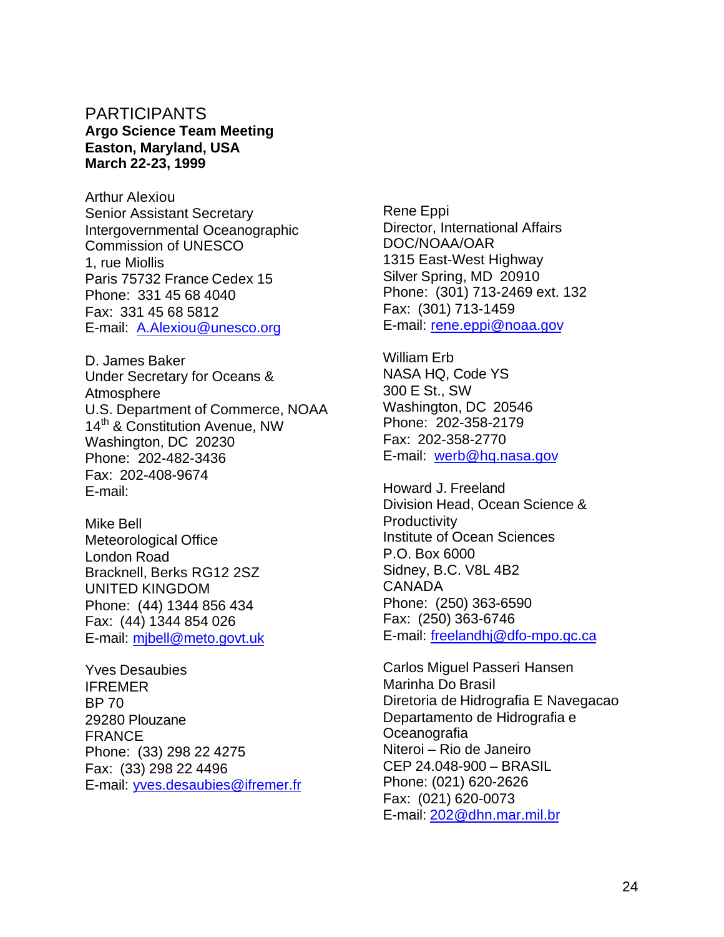#### PARTICIPANTS **Argo Science Team Meeting Easton, Maryland, USA March 22-23, 1999**

Arthur Alexiou Senior Assistant Secretary Intergovernmental Oceanographic Commission of UNESCO 1, rue Miollis Paris 75732 France Cedex 15 Phone: 331 45 68 4040 Fax: 331 45 68 5812 E-mail: A.Alexiou@unesco.org

D. James Baker Under Secretary for Oceans & **Atmosphere** U.S. Department of Commerce, NOAA 14<sup>th</sup> & Constitution Avenue, NW Washington, DC 20230 Phone: 202-482-3436 Fax: 202-408-9674 E-mail:

Mike Bell Meteorological Office London Road Bracknell, Berks RG12 2SZ UNITED KINGDOM Phone: (44) 1344 856 434 Fax: (44) 1344 854 026 E-mail: mjbell@meto.govt.uk

Yves Desaubies IFREMER BP 70 29280 Plouzane FRANCE Phone: (33) 298 22 4275 Fax: (33) 298 22 4496 E-mail: yves.desaubies@ifremer.fr Rene Eppi Director, International Affairs DOC/NOAA/OAR 1315 East-West Highway Silver Spring, MD 20910 Phone: (301) 713-2469 ext. 132 Fax: (301) 713-1459 E-mail: rene.eppi@noaa.gov

William Erb NASA HQ, Code YS 300 E St., SW Washington, DC 20546 Phone: 202-358-2179 Fax: 202-358-2770 E-mail: werb@hq.nasa.gov

Howard J. Freeland Division Head, Ocean Science & **Productivity** Institute of Ocean Sciences P.O. Box 6000 Sidney, B.C. V8L 4B2 CANADA Phone: (250) 363-6590 Fax: (250) 363-6746 E-mail: freelandhj@dfo-mpo.gc.ca

Carlos Miguel Passeri Hansen Marinha Do Brasil Diretoria de Hidrografia E Navegacao Departamento de Hidrografia e Oceanografia Niteroi – Rio de Janeiro CEP 24.048-900 – BRASIL Phone: (021) 620-2626 Fax: (021) 620-0073 E-mail: 202@dhn.mar.mil.br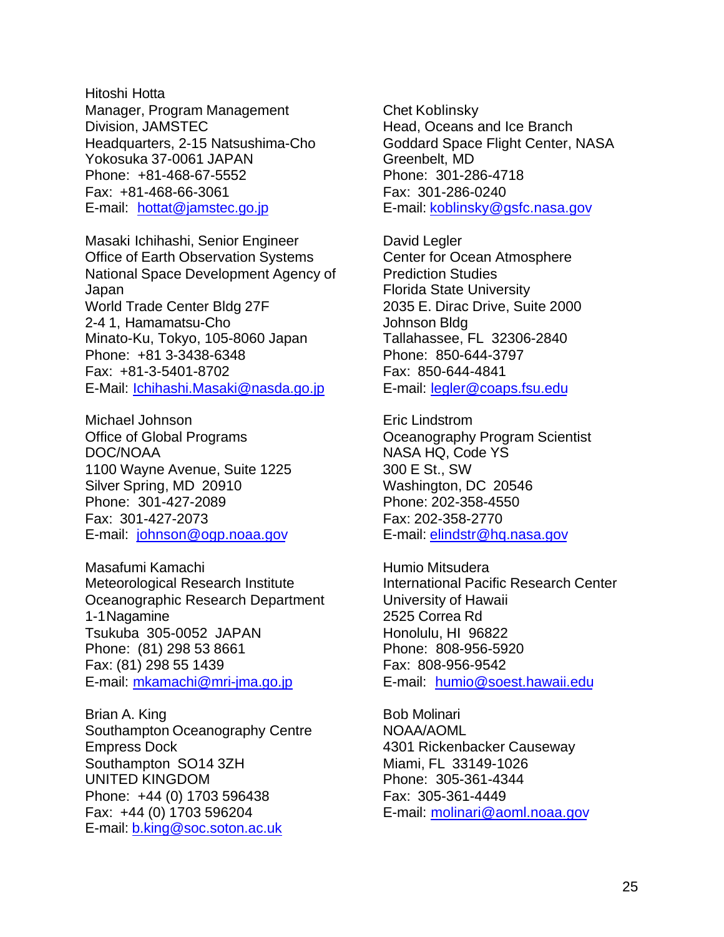Hitoshi Hotta Manager, Program Management Division, JAMSTEC Headquarters, 2-15 Natsushima-Cho Yokosuka 37-0061 JAPAN Phone: +81-468-67-5552 Fax: +81-468-66-3061 E-mail: hottat@jamstec.go.jp

Masaki Ichihashi, Senior Engineer Office of Earth Observation Systems National Space Development Agency of Japan World Trade Center Bldg 27F 2-4 1, Hamamatsu-Cho Minato-Ku, Tokyo, 105-8060 Japan Phone: +81 3-3438-6348 Fax: +81-3-5401-8702 E-Mail: Ichihashi.Masaki@nasda.go.jp

Michael Johnson Office of Global Programs DOC/NOAA 1100 Wayne Avenue, Suite 1225 Silver Spring, MD 20910 Phone: 301-427-2089 Fax: 301-427-2073 E-mail: johnson@ogp.noaa.gov

Masafumi Kamachi Meteorological Research Institute Oceanographic Research Department 1-1Nagamine Tsukuba 305-0052 JAPAN Phone: (81) 298 53 8661 Fax: (81) 298 55 1439 E-mail: mkamachi@mri-jma.go.jp

Brian A. King Southampton Oceanography Centre Empress Dock Southampton SO14 3ZH UNITED KINGDOM Phone: +44 (0) 1703 596438 Fax: +44 (0) 1703 596204 E-mail: b.king@soc.soton.ac.uk

Chet Koblinsky Head, Oceans and Ice Branch Goddard Space Flight Center, NASA Greenbelt, MD Phone: 301-286-4718 Fax: 301-286-0240 E-mail: koblinsky@gsfc.nasa.gov

David Legler Center for Ocean Atmosphere Prediction Studies Florida State University 2035 E. Dirac Drive, Suite 2000 Johnson Bldg Tallahassee, FL 32306-2840 Phone: 850-644-3797 Fax: 850-644-4841 E-mail: legler@coaps.fsu.edu

Eric Lindstrom Oceanography Program Scientist NASA HQ, Code YS 300 E St., SW Washington, DC 20546 Phone: 202-358-4550 Fax: 202-358-2770 E-mail: elindstr@hq.nasa.gov

Humio Mitsudera International Pacific Research Center University of Hawaii 2525 Correa Rd Honolulu, HI 96822 Phone: 808-956-5920 Fax: 808-956-9542 E-mail: humio@soest.hawaii.edu

Bob Molinari NOAA/AOML 4301 Rickenbacker Causeway Miami, FL 33149-1026 Phone: 305-361-4344 Fax: 305-361-4449 E-mail: molinari@aoml.noaa.gov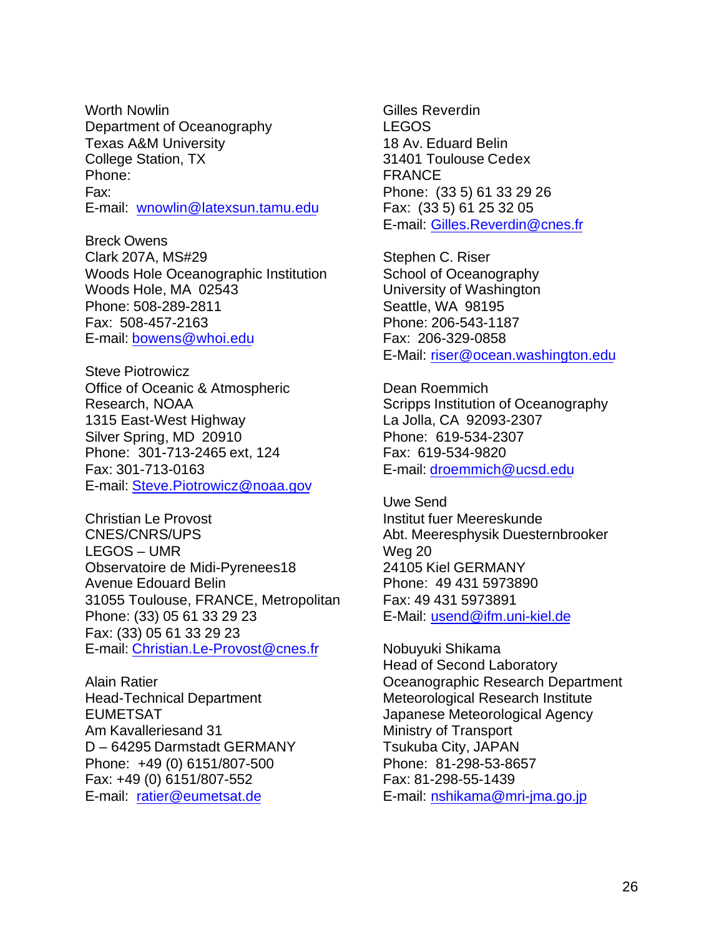Worth Nowlin Department of Oceanography Texas A&M University College Station, TX Phone: Fax: E-mail: wnowlin@latexsun.tamu.edu

Breck Owens Clark 207A, MS#29 Woods Hole Oceanographic Institution Woods Hole, MA 02543 Phone: 508-289-2811 Fax: 508-457-2163 E-mail: bowens@whoi.edu

Steve Piotrowicz Office of Oceanic & Atmospheric Research, NOAA 1315 East-West Highway Silver Spring, MD 20910 Phone: 301-713-2465 ext, 124 Fax: 301-713-0163 E-mail: Steve.Piotrowicz@noaa.gov

Christian Le Provost CNES/CNRS/UPS LEGOS – UMR Observatoire de Midi-Pyrenees18 Avenue Edouard Belin 31055 Toulouse, FRANCE, Metropolitan Phone: (33) 05 61 33 29 23 Fax: (33) 05 61 33 29 23 E-mail: Christian.Le-Provost@cnes.fr

Alain Ratier Head-Technical Department EUMETSAT Am Kavalleriesand 31 D – 64295 Darmstadt GERMANY Phone: +49 (0) 6151/807-500 Fax: +49 (0) 6151/807-552 E-mail: ratier@eumetsat.de

Gilles Reverdin LEGOS 18 Av. Eduard Belin 31401 Toulouse Cedex FRANCE Phone: (33 5) 61 33 29 26 Fax: (33 5) 61 25 32 05 E-mail: Gilles.Reverdin@cnes.fr

Stephen C. Riser School of Oceanography University of Washington Seattle, WA 98195 Phone: 206-543-1187 Fax: 206-329-0858 E-Mail: riser@ocean.washington.edu

Dean Roemmich Scripps Institution of Oceanography La Jolla, CA 92093-2307 Phone: 619-534-2307 Fax: 619-534-9820 E-mail: droemmich@ucsd.edu

Uwe Send Institut fuer Meereskunde Abt. Meeresphysik Duesternbrooker Weg 20 24105 Kiel GERMANY Phone: 49 431 5973890 Fax: 49 431 5973891 E-Mail: usend@ifm.uni-kiel.de

Nobuyuki Shikama Head of Second Laboratory Oceanographic Research Department Meteorological Research Institute Japanese Meteorological Agency Ministry of Transport Tsukuba City, JAPAN Phone: 81-298-53-8657 Fax: 81-298-55-1439 E-mail: nshikama@mri-jma.go.jp